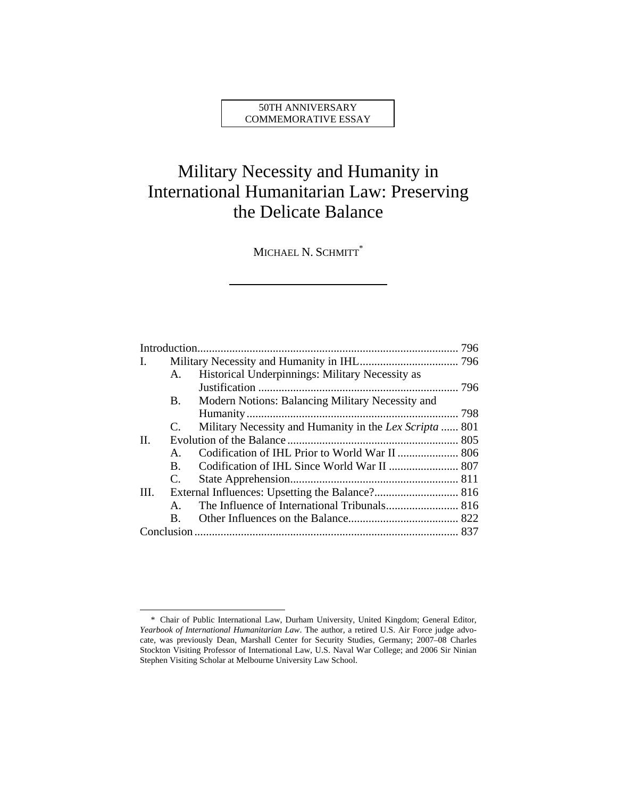## 50TH ANNIVERSARY COMMEMORATIVE ESSAY

# Military Necessity and Humanity in International Humanitarian Law: Preserving the Delicate Balance

MICHAEL N. SCHMITT\*

| L.   |              |                                                         |     |
|------|--------------|---------------------------------------------------------|-----|
|      | A.           | Historical Underpinnings: Military Necessity as         |     |
|      |              |                                                         | 796 |
|      | <b>B.</b>    | Modern Notions: Balancing Military Necessity and        |     |
|      |              |                                                         |     |
|      | C.           | Military Necessity and Humanity in the Lex Scripta  801 |     |
| II   |              |                                                         |     |
|      | $A_{-}$      |                                                         |     |
|      | $B_{-}$      |                                                         |     |
|      | C.           |                                                         |     |
| III. |              | External Influences: Upsetting the Balance? 816         |     |
|      | $\mathsf{A}$ |                                                         |     |
|      | B.           |                                                         |     |
|      |              |                                                         |     |

<sup>\*</sup> Chair of Public International Law, Durham University, United Kingdom; General Editor, *Yearbook of International Humanitarian Law*. The author, a retired U.S. Air Force judge advocate, was previously Dean, Marshall Center for Security Studies, Germany; 2007–08 Charles Stockton Visiting Professor of International Law, U.S. Naval War College; and 2006 Sir Ninian Stephen Visiting Scholar at Melbourne University Law School.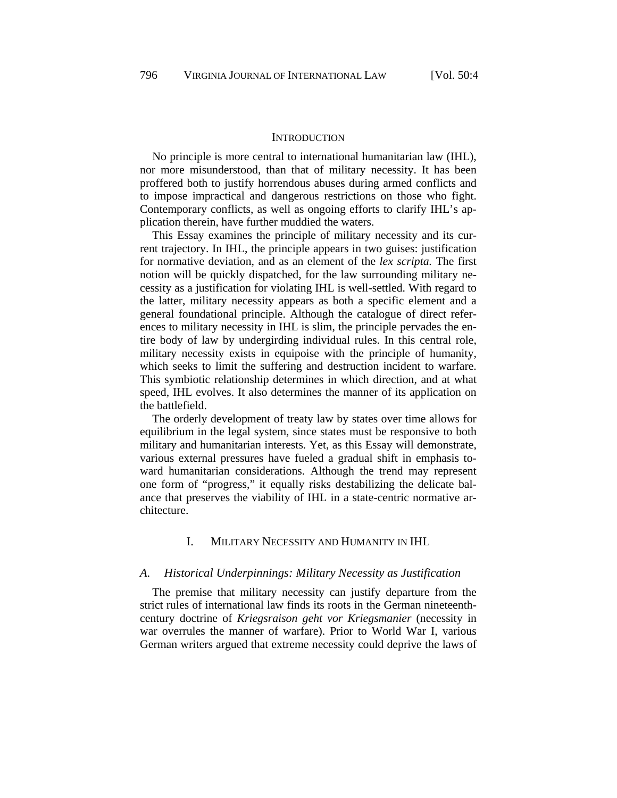#### **INTRODUCTION**

No principle is more central to international humanitarian law (IHL), nor more misunderstood, than that of military necessity. It has been proffered both to justify horrendous abuses during armed conflicts and to impose impractical and dangerous restrictions on those who fight. Contemporary conflicts, as well as ongoing efforts to clarify IHL's application therein, have further muddied the waters.

This Essay examines the principle of military necessity and its current trajectory. In IHL, the principle appears in two guises: justification for normative deviation, and as an element of the *lex scripta.* The first notion will be quickly dispatched, for the law surrounding military necessity as a justification for violating IHL is well-settled. With regard to the latter, military necessity appears as both a specific element and a general foundational principle. Although the catalogue of direct references to military necessity in IHL is slim, the principle pervades the entire body of law by undergirding individual rules. In this central role, military necessity exists in equipoise with the principle of humanity, which seeks to limit the suffering and destruction incident to warfare. This symbiotic relationship determines in which direction, and at what speed, IHL evolves. It also determines the manner of its application on the battlefield.

The orderly development of treaty law by states over time allows for equilibrium in the legal system, since states must be responsive to both military and humanitarian interests. Yet, as this Essay will demonstrate, various external pressures have fueled a gradual shift in emphasis toward humanitarian considerations. Although the trend may represent one form of "progress," it equally risks destabilizing the delicate balance that preserves the viability of IHL in a state-centric normative architecture.

## I. MILITARY NECESSITY AND HUMANITY IN IHL

# *A. Historical Underpinnings: Military Necessity as Justification*

The premise that military necessity can justify departure from the strict rules of international law finds its roots in the German nineteenthcentury doctrine of *Kriegsraison geht vor Kriegsmanier* (necessity in war overrules the manner of warfare). Prior to World War I, various German writers argued that extreme necessity could deprive the laws of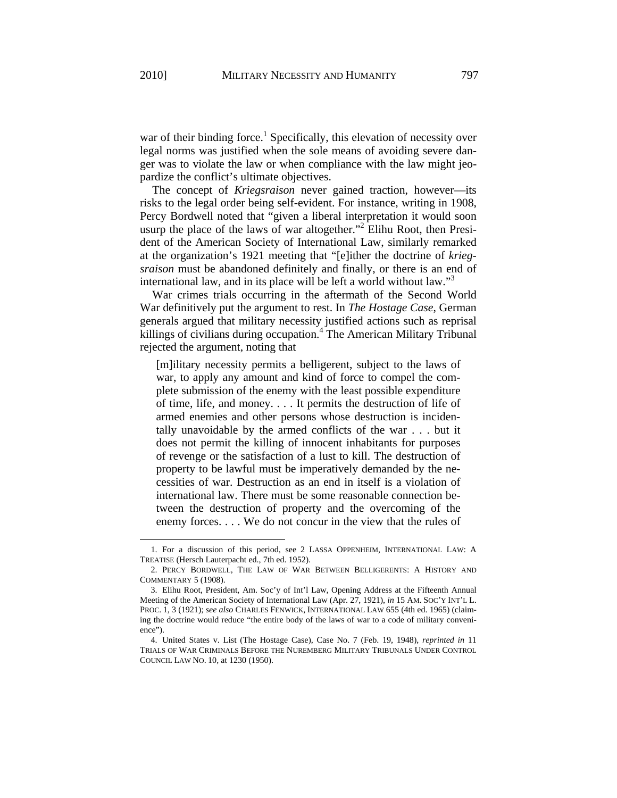war of their binding force.<sup>1</sup> Specifically, this elevation of necessity over legal norms was justified when the sole means of avoiding severe danger was to violate the law or when compliance with the law might jeopardize the conflict's ultimate objectives.

The concept of *Kriegsraison* never gained traction, however—its risks to the legal order being self-evident. For instance, writing in 1908, Percy Bordwell noted that "given a liberal interpretation it would soon usurp the place of the laws of war altogether."<sup>2</sup> Elihu Root, then President of the American Society of International Law, similarly remarked at the organization's 1921 meeting that "[e]ither the doctrine of *kriegsraison* must be abandoned definitely and finally, or there is an end of international law, and in its place will be left a world without law."<sup>3</sup>

War crimes trials occurring in the aftermath of the Second World War definitively put the argument to rest. In *The Hostage Case*, German generals argued that military necessity justified actions such as reprisal killings of civilians during occupation.<sup>4</sup> The American Military Tribunal rejected the argument, noting that

[m]ilitary necessity permits a belligerent, subject to the laws of war, to apply any amount and kind of force to compel the complete submission of the enemy with the least possible expenditure of time, life, and money. . . . It permits the destruction of life of armed enemies and other persons whose destruction is incidentally unavoidable by the armed conflicts of the war . . . but it does not permit the killing of innocent inhabitants for purposes of revenge or the satisfaction of a lust to kill. The destruction of property to be lawful must be imperatively demanded by the necessities of war. Destruction as an end in itself is a violation of international law. There must be some reasonable connection between the destruction of property and the overcoming of the enemy forces. . . . We do not concur in the view that the rules of

<sup>1.</sup> For a discussion of this period, see 2 LASSA OPPENHEIM, INTERNATIONAL LAW: A TREATISE (Hersch Lauterpacht ed., 7th ed. 1952).

<sup>2.</sup> PERCY BORDWELL, THE LAW OF WAR BETWEEN BELLIGERENTS: A HISTORY AND COMMENTARY 5 (1908).

<sup>3.</sup> Elihu Root, President, Am. Soc'y of Int'l Law, Opening Address at the Fifteenth Annual Meeting of the American Society of International Law (Apr. 27, 1921), *in* 15 AM. SOC'Y INT'L L. PROC. 1, 3 (1921); *see also* CHARLES FENWICK, INTERNATIONAL LAW 655 (4th ed. 1965) (claiming the doctrine would reduce "the entire body of the laws of war to a code of military convenience").

<sup>4.</sup> United States v. List (The Hostage Case), Case No. 7 (Feb. 19, 1948), *reprinted in* 11 TRIALS OF WAR CRIMINALS BEFORE THE NUREMBERG MILITARY TRIBUNALS UNDER CONTROL COUNCIL LAW NO. 10, at 1230 (1950).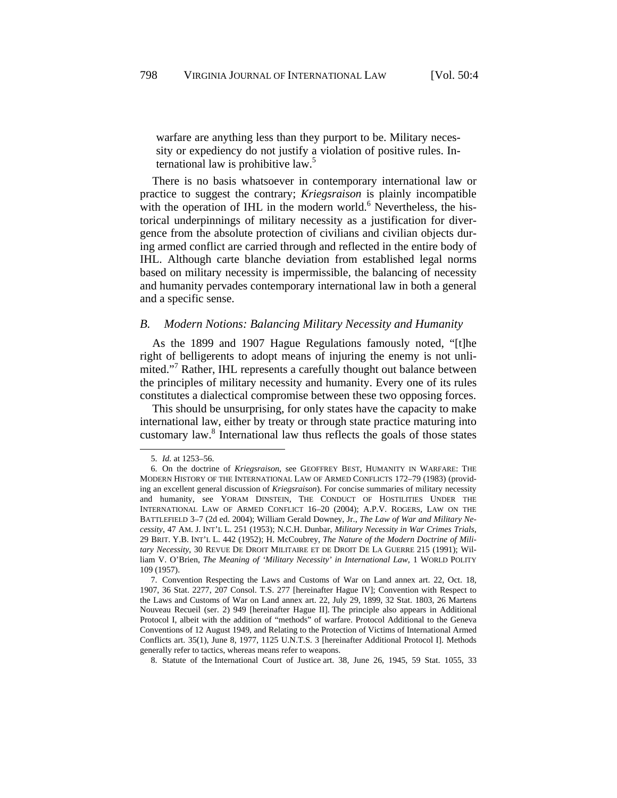warfare are anything less than they purport to be. Military necessity or expediency do not justify a violation of positive rules. International law is prohibitive law.<sup>5</sup>

There is no basis whatsoever in contemporary international law or practice to suggest the contrary; *Kriegsraison* is plainly incompatible with the operation of IHL in the modern world.<sup>6</sup> Nevertheless, the historical underpinnings of military necessity as a justification for divergence from the absolute protection of civilians and civilian objects during armed conflict are carried through and reflected in the entire body of IHL. Although carte blanche deviation from established legal norms based on military necessity is impermissible, the balancing of necessity and humanity pervades contemporary international law in both a general and a specific sense.

#### *B. Modern Notions: Balancing Military Necessity and Humanity*

As the 1899 and 1907 Hague Regulations famously noted, "[t]he right of belligerents to adopt means of injuring the enemy is not unlimited."7 Rather, IHL represents a carefully thought out balance between the principles of military necessity and humanity. Every one of its rules constitutes a dialectical compromise between these two opposing forces.

This should be unsurprising, for only states have the capacity to make international law, either by treaty or through state practice maturing into customary law.<sup>8</sup> International law thus reflects the goals of those states

<sup>5.</sup> *Id.* at 1253–56.

<sup>6.</sup> On the doctrine of *Kriegsraison*, see GEOFFREY BEST, HUMANITY IN WARFARE: THE MODERN HISTORY OF THE INTERNATIONAL LAW OF ARMED CONFLICTS 172–79 (1983) (providing an excellent general discussion of *Kriegsraison*). For concise summaries of military necessity and humanity, see YORAM DINSTEIN, THE CONDUCT OF HOSTILITIES UNDER THE INTERNATIONAL LAW OF ARMED CONFLICT 16–20 (2004); A.P.V. ROGERS, LAW ON THE BATTLEFIELD 3–7 (2d ed. 2004); William Gerald Downey, Jr., *The Law of War and Military Necessity*, 47 AM. J. INT'L L. 251 (1953); N.C.H. Dunbar, *Military Necessity in War Crimes Trials*, 29 BRIT. Y.B. INT'L L. 442 (1952); H. McCoubrey, *The Nature of the Modern Doctrine of Military Necessity*, 30 REVUE DE DROIT MILITAIRE ET DE DROIT DE LA GUERRE 215 (1991); William V. O'Brien, *The Meaning of 'Military Necessity' in International Law*, 1 WORLD POLITY 109 (1957).

<sup>7.</sup> Convention Respecting the Laws and Customs of War on Land annex art. 22, Oct. 18, 1907, 36 Stat. 2277, 207 Consol. T.S. 277 [hereinafter Hague IV]; Convention with Respect to the Laws and Customs of War on Land annex art. 22, July 29, 1899, 32 Stat. 1803, 26 Martens Nouveau Recueil (ser. 2) 949 [hereinafter Hague II]. The principle also appears in Additional Protocol I, albeit with the addition of "methods" of warfare. Protocol Additional to the Geneva Conventions of 12 August 1949, and Relating to the Protection of Victims of International Armed Conflicts art. 35(1), June 8, 1977, 1125 U.N.T.S. 3 [hereinafter Additional Protocol I]. Methods generally refer to tactics, whereas means refer to weapons.

<sup>8.</sup> Statute of the International Court of Justice art. 38, June 26, 1945, 59 Stat. 1055, 33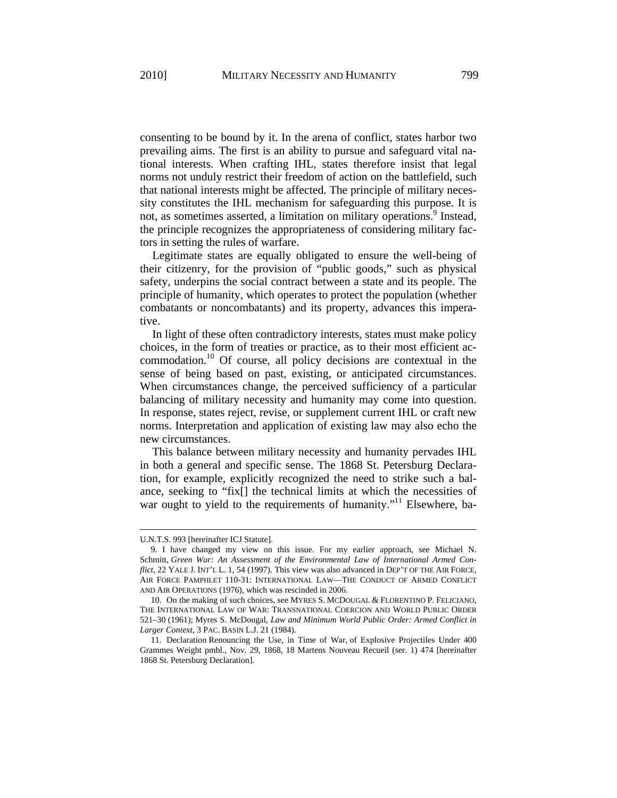consenting to be bound by it. In the arena of conflict, states harbor two prevailing aims. The first is an ability to pursue and safeguard vital national interests. When crafting IHL, states therefore insist that legal norms not unduly restrict their freedom of action on the battlefield, such that national interests might be affected. The principle of military necessity constitutes the IHL mechanism for safeguarding this purpose. It is not, as sometimes asserted, a limitation on military operations.<sup>9</sup> Instead, the principle recognizes the appropriateness of considering military factors in setting the rules of warfare.

Legitimate states are equally obligated to ensure the well-being of their citizenry, for the provision of "public goods," such as physical safety, underpins the social contract between a state and its people. The principle of humanity, which operates to protect the population (whether combatants or noncombatants) and its property, advances this imperative.

In light of these often contradictory interests, states must make policy choices, in the form of treaties or practice, as to their most efficient accommodation.10 Of course, all policy decisions are contextual in the sense of being based on past, existing, or anticipated circumstances. When circumstances change, the perceived sufficiency of a particular balancing of military necessity and humanity may come into question. In response, states reject, revise, or supplement current IHL or craft new norms. Interpretation and application of existing law may also echo the new circumstances.

This balance between military necessity and humanity pervades IHL in both a general and specific sense. The 1868 St. Petersburg Declaration, for example, explicitly recognized the need to strike such a balance, seeking to "fix[] the technical limits at which the necessities of war ought to yield to the requirements of humanity."<sup>11</sup> Elsewhere, ba-

U.N.T.S. 993 [hereinafter ICJ Statute].

<sup>9.</sup> I have changed my view on this issue. For my earlier approach, see Michael N. Schmitt, *Green War: An Assessment of the Environmental Law of International Armed Conflict*, 22 YALE J. INT'L L. 1, 54 (1997). This view was also advanced in DEP'T OF THE AIR FORCE, AIR FORCE PAMPHLET 110-31: INTERNATIONAL LAW—THE CONDUCT OF ARMED CONFLICT AND AIR OPERATIONS (1976), which was rescinded in 2006.

<sup>10.</sup> On the making of such choices, see MYRES S. MCDOUGAL & FLORENTINO P. FELICIANO, THE INTERNATIONAL LAW OF WAR: TRANSNATIONAL COERCION AND WORLD PUBLIC ORDER 521–30 (1961); Myres S. McDougal, *Law and Minimum World Public Order: Armed Conflict in Larger Context*, 3 PAC. BASIN L.J. 21 (1984).

<sup>11.</sup> Declaration Renouncing the Use, in Time of War, of Explosive Projectiles Under 400 Grammes Weight pmbl., Nov. 29, 1868, 18 Martens Nouveau Recueil (ser. 1) 474 [hereinafter 1868 St. Petersburg Declaration].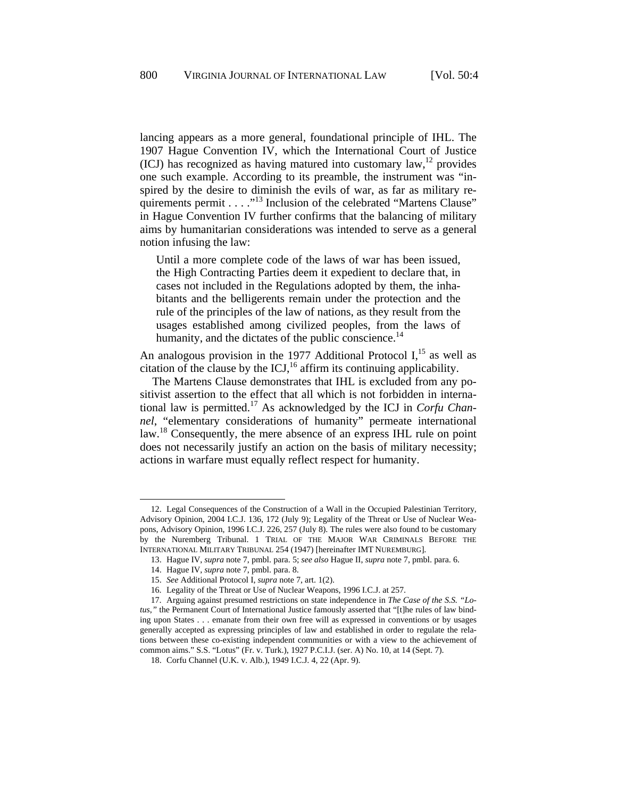lancing appears as a more general, foundational principle of IHL. The 1907 Hague Convention IV, which the International Court of Justice (ICJ) has recognized as having matured into customary law, $^{12}$  provides one such example. According to its preamble, the instrument was "inspired by the desire to diminish the evils of war, as far as military requirements permit . . . . "<sup>13</sup> Inclusion of the celebrated "Martens Clause" in Hague Convention IV further confirms that the balancing of military aims by humanitarian considerations was intended to serve as a general notion infusing the law:

Until a more complete code of the laws of war has been issued, the High Contracting Parties deem it expedient to declare that, in cases not included in the Regulations adopted by them, the inhabitants and the belligerents remain under the protection and the rule of the principles of the law of nations, as they result from the usages established among civilized peoples, from the laws of humanity, and the dictates of the public conscience.<sup>14</sup>

An analogous provision in the 1977 Additional Protocol I, $^{15}$  as well as citation of the clause by the ICJ,<sup>16</sup> affirm its continuing applicability.

The Martens Clause demonstrates that IHL is excluded from any positivist assertion to the effect that all which is not forbidden in international law is permitted.17 As acknowledged by the ICJ in *Corfu Channel*, "elementary considerations of humanity" permeate international law.<sup>18</sup> Consequently, the mere absence of an express IHL rule on point does not necessarily justify an action on the basis of military necessity; actions in warfare must equally reflect respect for humanity.

<sup>12.</sup> Legal Consequences of the Construction of a Wall in the Occupied Palestinian Territory, Advisory Opinion, 2004 I.C.J. 136, 172 (July 9); Legality of the Threat or Use of Nuclear Weapons, Advisory Opinion, 1996 I.C.J. 226, 257 (July 8). The rules were also found to be customary by the Nuremberg Tribunal. 1 TRIAL OF THE MAJOR WAR CRIMINALS BEFORE THE INTERNATIONAL MILITARY TRIBUNAL 254 (1947) [hereinafter IMT NUREMBURG].

<sup>13.</sup> Hague IV, *supra* note 7, pmbl. para. 5; *see also* Hague II, *supra* note 7, pmbl. para. 6.

<sup>14.</sup> Hague IV, *supra* note 7, pmbl. para. 8.

<sup>15.</sup> *See* Additional Protocol I, *supra* note 7, art. 1(2).

<sup>16.</sup> Legality of the Threat or Use of Nuclear Weapons, 1996 I.C.J. at 257.

<sup>17.</sup> Arguing against presumed restrictions on state independence in *The Case of the S.S. "Lotus*,*"* the Permanent Court of International Justice famously asserted that "[t]he rules of law binding upon States . . . emanate from their own free will as expressed in conventions or by usages generally accepted as expressing principles of law and established in order to regulate the relations between these co-existing independent communities or with a view to the achievement of common aims." S.S. "Lotus" (Fr. v. Turk.), 1927 P.C.I.J. (ser. A) No. 10, at 14 (Sept. 7).

<sup>18.</sup> Corfu Channel (U.K. v. Alb.), 1949 I.C.J. 4, 22 (Apr. 9).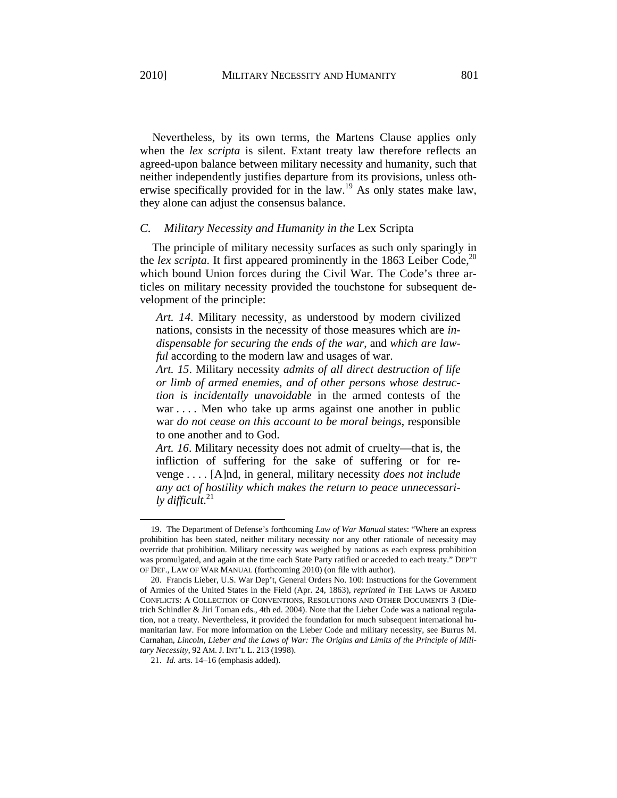-

Nevertheless, by its own terms, the Martens Clause applies only when the *lex scripta* is silent. Extant treaty law therefore reflects an agreed-upon balance between military necessity and humanity, such that neither independently justifies departure from its provisions, unless otherwise specifically provided for in the law.<sup>19</sup> As only states make law, they alone can adjust the consensus balance.

#### *C. Military Necessity and Humanity in the* Lex Scripta

The principle of military necessity surfaces as such only sparingly in the *lex scripta*. It first appeared prominently in the 1863 Leiber Code,<sup>20</sup> which bound Union forces during the Civil War. The Code's three articles on military necessity provided the touchstone for subsequent development of the principle:

*Art. 14*. Military necessity, as understood by modern civilized nations, consists in the necessity of those measures which are *indispensable for securing the ends of the war*, and *which are lawful* according to the modern law and usages of war.

*Art. 15*. Military necessity *admits of all direct destruction of life or limb of armed enemies, and of other persons whose destruction is incidentally unavoidable* in the armed contests of the war ... . Men who take up arms against one another in public war *do not cease on this account to be moral beings*, responsible to one another and to God.

*Art. 16*. Military necessity does not admit of cruelty—that is, the infliction of suffering for the sake of suffering or for revenge . . . . [A]nd, in general, military necessity *does not include any act of hostility which makes the return to peace unnecessarily difficult*. 21

<sup>19.</sup> The Department of Defense's forthcoming *Law of War Manual* states: "Where an express prohibition has been stated, neither military necessity nor any other rationale of necessity may override that prohibition. Military necessity was weighed by nations as each express prohibition was promulgated, and again at the time each State Party ratified or acceded to each treaty." DEP'T OF DEF., LAW OF WAR MANUAL (forthcoming 2010) (on file with author).

<sup>20.</sup> Francis Lieber, U.S. War Dep't, General Orders No. 100: Instructions for the Government of Armies of the United States in the Field (Apr. 24, 1863), *reprinted in* THE LAWS OF ARMED CONFLICTS: A COLLECTION OF CONVENTIONS, RESOLUTIONS AND OTHER DOCUMENTS 3 (Dietrich Schindler & Jiri Toman eds., 4th ed. 2004). Note that the Lieber Code was a national regulation, not a treaty. Nevertheless, it provided the foundation for much subsequent international humanitarian law. For more information on the Lieber Code and military necessity, see Burrus M. Carnahan, *Lincoln, Lieber and the Laws of War: The Origins and Limits of the Principle of Military Necessity*, 92 AM. J. INT'L L. 213 (1998).

<sup>21.</sup> *Id.* arts. 14–16 (emphasis added).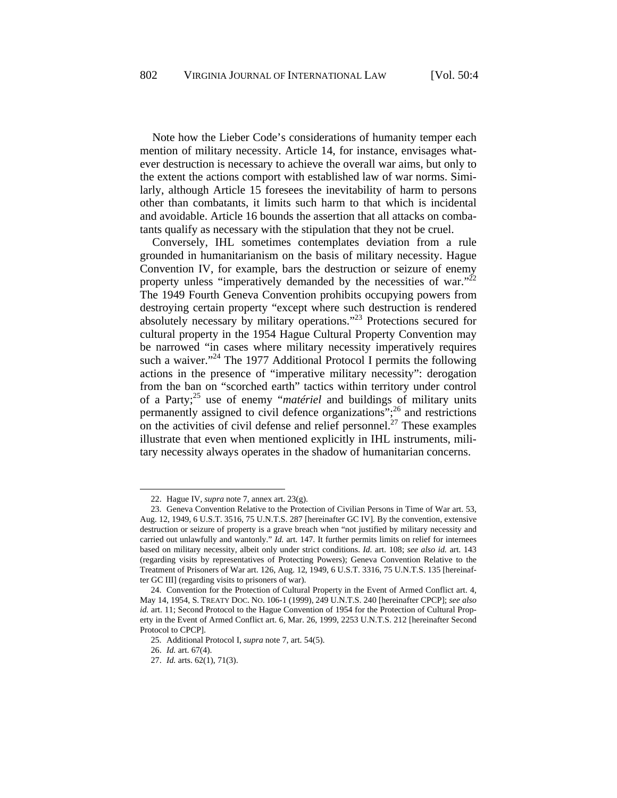Note how the Lieber Code's considerations of humanity temper each mention of military necessity. Article 14, for instance, envisages whatever destruction is necessary to achieve the overall war aims, but only to the extent the actions comport with established law of war norms. Similarly, although Article 15 foresees the inevitability of harm to persons other than combatants, it limits such harm to that which is incidental and avoidable. Article 16 bounds the assertion that all attacks on combatants qualify as necessary with the stipulation that they not be cruel.

Conversely, IHL sometimes contemplates deviation from a rule grounded in humanitarianism on the basis of military necessity. Hague Convention IV, for example, bars the destruction or seizure of enemy property unless "imperatively demanded by the necessities of war."<sup>22</sup> The 1949 Fourth Geneva Convention prohibits occupying powers from destroying certain property "except where such destruction is rendered absolutely necessary by military operations."23 Protections secured for cultural property in the 1954 Hague Cultural Property Convention may be narrowed "in cases where military necessity imperatively requires such a waiver."<sup>24</sup> The 1977 Additional Protocol I permits the following actions in the presence of "imperative military necessity": derogation from the ban on "scorched earth" tactics within territory under control of a Party;25 use of enemy "*matériel* and buildings of military units permanently assigned to civil defence organizations"; $\frac{26}{3}$  and restrictions on the activities of civil defense and relief personnel.<sup>27</sup> These examples illustrate that even when mentioned explicitly in IHL instruments, military necessity always operates in the shadow of humanitarian concerns.

<sup>22.</sup> Hague IV, *supra* note 7, annex art. 23(g).

<sup>23.</sup> Geneva Convention Relative to the Protection of Civilian Persons in Time of War art. 53, Aug. 12, 1949, 6 U.S.T. 3516, 75 U.N.T.S. 287 [hereinafter GC IV]. By the convention, extensive destruction or seizure of property is a grave breach when "not justified by military necessity and carried out unlawfully and wantonly." *Id.* art. 147. It further permits limits on relief for internees based on military necessity, albeit only under strict conditions. *Id.* art. 108; *see also id.* art. 143 (regarding visits by representatives of Protecting Powers); Geneva Convention Relative to the Treatment of Prisoners of War art. 126, Aug. 12, 1949, 6 U.S.T. 3316, 75 U.N.T.S. 135 [hereinafter GC III] (regarding visits to prisoners of war).

<sup>24.</sup> Convention for the Protection of Cultural Property in the Event of Armed Conflict art. 4, May 14, 1954, S. TREATY DOC. NO. 106-1 (1999), 249 U.N.T.S. 240 [hereinafter CPCP]; *see also id.* art. 11; Second Protocol to the Hague Convention of 1954 for the Protection of Cultural Property in the Event of Armed Conflict art. 6, Mar. 26, 1999, 2253 U.N.T.S. 212 [hereinafter Second Protocol to CPCP].

<sup>25.</sup> Additional Protocol I, *supra* note 7, art. 54(5).

<sup>26.</sup> *Id.* art. 67(4).

<sup>27.</sup> *Id.* arts. 62(1), 71(3).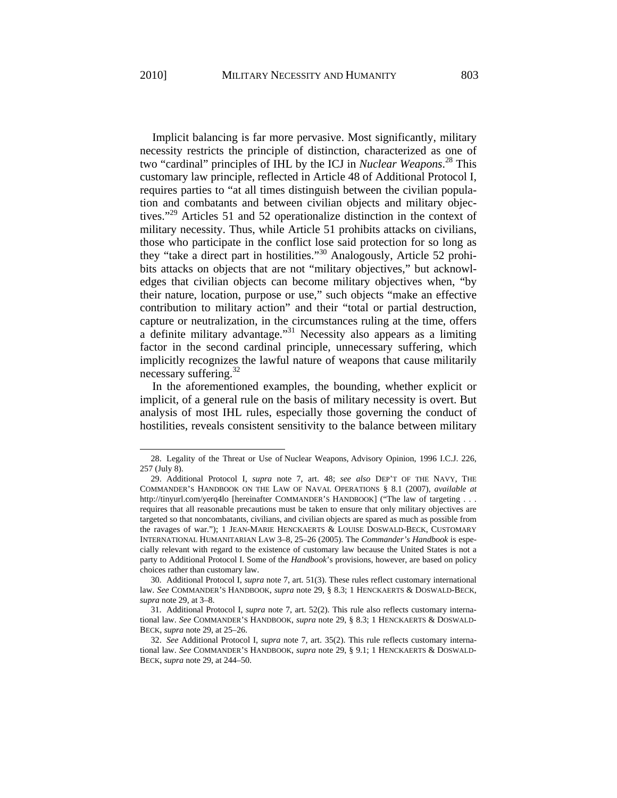1

Implicit balancing is far more pervasive. Most significantly, military necessity restricts the principle of distinction, characterized as one of two "cardinal" principles of IHL by the ICJ in *Nuclear Weapons*. 28 This customary law principle, reflected in Article 48 of Additional Protocol I, requires parties to "at all times distinguish between the civilian population and combatants and between civilian objects and military objectives."<sup>29</sup> Articles 51 and 52 operationalize distinction in the context of military necessity. Thus, while Article 51 prohibits attacks on civilians, those who participate in the conflict lose said protection for so long as they "take a direct part in hostilities."30 Analogously, Article 52 prohibits attacks on objects that are not "military objectives," but acknowledges that civilian objects can become military objectives when, "by their nature, location, purpose or use," such objects "make an effective contribution to military action" and their "total or partial destruction, capture or neutralization, in the circumstances ruling at the time, offers a definite military advantage."31 Necessity also appears as a limiting factor in the second cardinal principle, unnecessary suffering, which implicitly recognizes the lawful nature of weapons that cause militarily necessary suffering.<sup>32</sup>

In the aforementioned examples, the bounding, whether explicit or implicit, of a general rule on the basis of military necessity is overt. But analysis of most IHL rules, especially those governing the conduct of hostilities, reveals consistent sensitivity to the balance between military

<sup>28.</sup> Legality of the Threat or Use of Nuclear Weapons, Advisory Opinion, 1996 I.C.J. 226, 257 (July 8).

<sup>29.</sup> Additional Protocol I, *supra* note 7, art. 48; *see also* DEP'T OF THE NAVY, THE COMMANDER'S HANDBOOK ON THE LAW OF NAVAL OPERATIONS § 8.1 (2007), *available at* http://tinyurl.com/yerq4lo [hereinafter COMMANDER'S HANDBOOK] ("The law of targeting . . . requires that all reasonable precautions must be taken to ensure that only military objectives are targeted so that noncombatants, civilians, and civilian objects are spared as much as possible from the ravages of war."); 1 JEAN-MARIE HENCKAERTS & LOUISE DOSWALD-BECK, CUSTOMARY INTERNATIONAL HUMANITARIAN LAW 3–8, 25–26 (2005). The *Commander's Handbook* is especially relevant with regard to the existence of customary law because the United States is not a party to Additional Protocol I. Some of the *Handbook*'s provisions, however, are based on policy choices rather than customary law.

<sup>30.</sup> Additional Protocol I, *supra* note 7, art. 51(3). These rules reflect customary international law. *See* COMMANDER'S HANDBOOK, *supra* note 29, § 8.3; 1 HENCKAERTS & DOSWALD-BECK, *supra* note 29, at 3–8.

<sup>31.</sup> Additional Protocol I, *supra* note 7, art. 52(2). This rule also reflects customary international law. *See* COMMANDER'S HANDBOOK, *supra* note 29, § 8.3; 1 HENCKAERTS & DOSWALD-BECK, *supra* note 29, at 25–26.

<sup>32.</sup> *See* Additional Protocol I, *supra* note 7, art. 35(2). This rule reflects customary international law. *See* COMMANDER'S HANDBOOK, *supra* note 29, § 9.1; 1 HENCKAERTS & DOSWALD-BECK, *supra* note 29, at 244–50.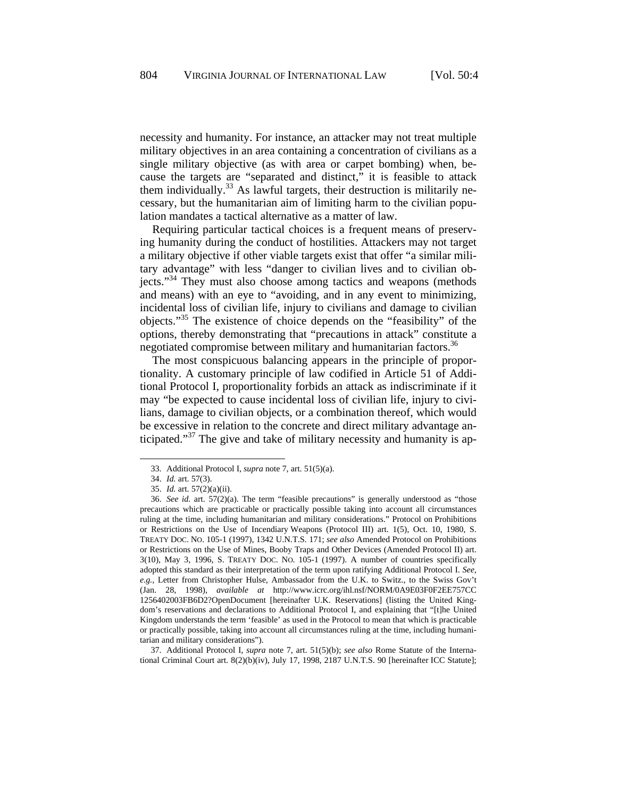necessity and humanity. For instance, an attacker may not treat multiple military objectives in an area containing a concentration of civilians as a single military objective (as with area or carpet bombing) when, because the targets are "separated and distinct," it is feasible to attack them individually.<sup>33</sup> As lawful targets, their destruction is militarily necessary, but the humanitarian aim of limiting harm to the civilian population mandates a tactical alternative as a matter of law.

Requiring particular tactical choices is a frequent means of preserving humanity during the conduct of hostilities. Attackers may not target a military objective if other viable targets exist that offer "a similar military advantage" with less "danger to civilian lives and to civilian objects."<sup>34</sup> They must also choose among tactics and weapons (methods and means) with an eye to "avoiding, and in any event to minimizing, incidental loss of civilian life, injury to civilians and damage to civilian objects."35 The existence of choice depends on the "feasibility" of the options, thereby demonstrating that "precautions in attack" constitute a negotiated compromise between military and humanitarian factors.<sup>36</sup>

The most conspicuous balancing appears in the principle of proportionality. A customary principle of law codified in Article 51 of Additional Protocol I, proportionality forbids an attack as indiscriminate if it may "be expected to cause incidental loss of civilian life, injury to civilians, damage to civilian objects, or a combination thereof, which would be excessive in relation to the concrete and direct military advantage anticipated."<sup>37</sup> The give and take of military necessity and humanity is ap-

-

37. Additional Protocol I, *supra* note 7, art. 51(5)(b); *see also* Rome Statute of the International Criminal Court art. 8(2)(b)(iv), July 17, 1998, 2187 U.N.T.S. 90 [hereinafter ICC Statute];

<sup>33.</sup> Additional Protocol I, *supra* note 7, art. 51(5)(a).

<sup>34.</sup> *Id.* art. 57(3).

<sup>35.</sup> *Id.* art. 57(2)(a)(ii).

<sup>36.</sup> *See id.* art. 57(2)(a). The term "feasible precautions" is generally understood as "those precautions which are practicable or practically possible taking into account all circumstances ruling at the time, including humanitarian and military considerations." Protocol on Prohibitions or Restrictions on the Use of Incendiary Weapons (Protocol III) art. 1(5), Oct. 10, 1980, S. TREATY DOC. NO. 105-1 (1997), 1342 U.N.T.S. 171; *see also* Amended Protocol on Prohibitions or Restrictions on the Use of Mines, Booby Traps and Other Devices (Amended Protocol II) art. 3(10), May 3, 1996, S. TREATY DOC. NO. 105-1 (1997). A number of countries specifically adopted this standard as their interpretation of the term upon ratifying Additional Protocol I. *See, e.g.*, Letter from Christopher Hulse, Ambassador from the U.K. to Switz., to the Swiss Gov't (Jan. 28, 1998), *available at* http://www.icrc.org/ihl.nsf/NORM/0A9E03F0F2EE757CC 1256402003FB6D2?OpenDocument [hereinafter U.K. Reservations] (listing the United Kingdom's reservations and declarations to Additional Protocol I, and explaining that "[t]he United Kingdom understands the term 'feasible' as used in the Protocol to mean that which is practicable or practically possible, taking into account all circumstances ruling at the time, including humanitarian and military considerations").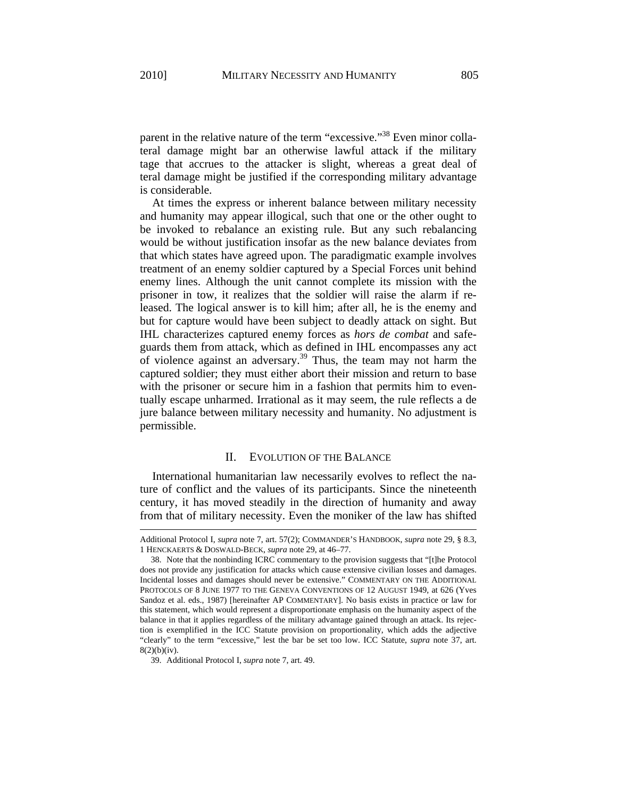parent in the relative nature of the term "excessive."<sup>38</sup> Even minor collateral damage might bar an otherwise lawful attack if the military tage that accrues to the attacker is slight, whereas a great deal of teral damage might be justified if the corresponding military advantage is considerable.

At times the express or inherent balance between military necessity and humanity may appear illogical, such that one or the other ought to be invoked to rebalance an existing rule. But any such rebalancing would be without justification insofar as the new balance deviates from that which states have agreed upon. The paradigmatic example involves treatment of an enemy soldier captured by a Special Forces unit behind enemy lines. Although the unit cannot complete its mission with the prisoner in tow, it realizes that the soldier will raise the alarm if released. The logical answer is to kill him; after all, he is the enemy and but for capture would have been subject to deadly attack on sight. But IHL characterizes captured enemy forces as *hors de combat* and safeguards them from attack, which as defined in IHL encompasses any act of violence against an adversary.<sup>39</sup> Thus, the team may not harm the captured soldier; they must either abort their mission and return to base with the prisoner or secure him in a fashion that permits him to eventually escape unharmed. Irrational as it may seem, the rule reflects a de jure balance between military necessity and humanity. No adjustment is permissible.

## II. EVOLUTION OF THE BALANCE

International humanitarian law necessarily evolves to reflect the nature of conflict and the values of its participants. Since the nineteenth century, it has moved steadily in the direction of humanity and away from that of military necessity. Even the moniker of the law has shifted

Additional Protocol I, *supra* note 7, art. 57(2); COMMANDER'S HANDBOOK, *supra* note 29, § 8.3, 1 HENCKAERTS & DOSWALD-BECK, *supra* note 29, at 46–77.

<sup>38.</sup> Note that the nonbinding ICRC commentary to the provision suggests that "[t]he Protocol does not provide any justification for attacks which cause extensive civilian losses and damages. Incidental losses and damages should never be extensive." COMMENTARY ON THE ADDITIONAL PROTOCOLS OF 8 JUNE 1977 TO THE GENEVA CONVENTIONS OF 12 AUGUST 1949, at 626 (Yves Sandoz et al. eds., 1987) [hereinafter AP COMMENTARY]. No basis exists in practice or law for this statement, which would represent a disproportionate emphasis on the humanity aspect of the balance in that it applies regardless of the military advantage gained through an attack. Its rejection is exemplified in the ICC Statute provision on proportionality, which adds the adjective "clearly" to the term "excessive," lest the bar be set too low. ICC Statute, *supra* note 37, art.  $8(2)(b)(iv)$ .

<sup>39.</sup> Additional Protocol I, *supra* note 7, art. 49.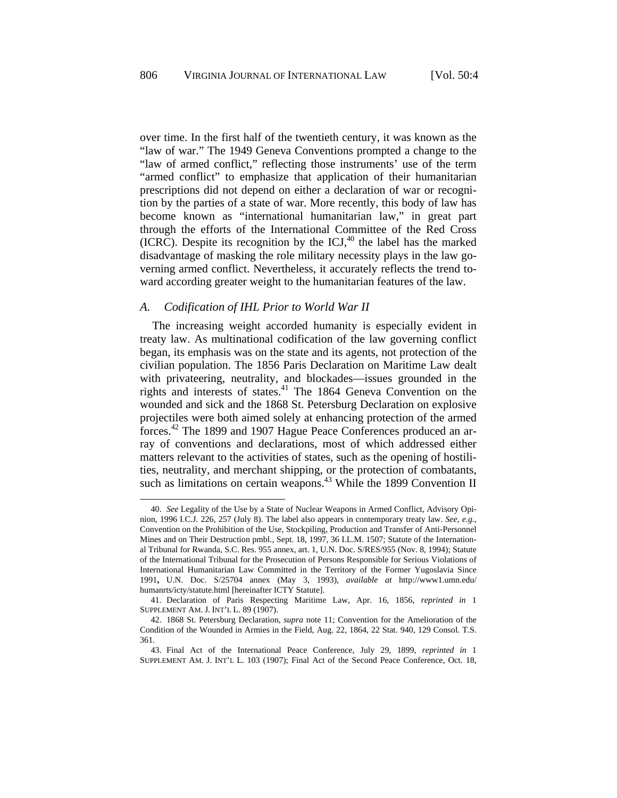over time. In the first half of the twentieth century, it was known as the "law of war." The 1949 Geneva Conventions prompted a change to the "law of armed conflict," reflecting those instruments' use of the term "armed conflict" to emphasize that application of their humanitarian prescriptions did not depend on either a declaration of war or recognition by the parties of a state of war. More recently, this body of law has become known as "international humanitarian law," in great part through the efforts of the International Committee of the Red Cross (ICRC). Despite its recognition by the ICJ,<sup>40</sup> the label has the marked disadvantage of masking the role military necessity plays in the law governing armed conflict. Nevertheless, it accurately reflects the trend toward according greater weight to the humanitarian features of the law.

## *A. Codification of IHL Prior to World War II*

-

The increasing weight accorded humanity is especially evident in treaty law. As multinational codification of the law governing conflict began, its emphasis was on the state and its agents, not protection of the civilian population. The 1856 Paris Declaration on Maritime Law dealt with privateering, neutrality, and blockades—issues grounded in the rights and interests of states.41 The 1864 Geneva Convention on the wounded and sick and the 1868 St. Petersburg Declaration on explosive projectiles were both aimed solely at enhancing protection of the armed forces.<sup>42</sup> The 1899 and 1907 Hague Peace Conferences produced an array of conventions and declarations, most of which addressed either matters relevant to the activities of states, such as the opening of hostilities, neutrality, and merchant shipping, or the protection of combatants, such as limitations on certain weapons.<sup>43</sup> While the 1899 Convention II

<sup>40.</sup> *See* Legality of the Use by a State of Nuclear Weapons in Armed Conflict, Advisory Opinion, 1996 I.C.J. 226, 257 (July 8). The label also appears in contemporary treaty law. *See, e.g.*, Convention on the Prohibition of the Use, Stockpiling, Production and Transfer of Anti-Personnel Mines and on Their Destruction pmbl., Sept. 18, 1997, 36 I.L.M. 1507; Statute of the International Tribunal for Rwanda, S.C. Res. 955 annex, art. 1, U.N. Doc. S/RES/955 (Nov. 8, 1994); Statute of the International Tribunal for the Prosecution of Persons Responsible for Serious Violations of International Humanitarian Law Committed in the Territory of the Former Yugoslavia Since 1991**,** U.N. Doc. S/25704 annex (May 3, 1993), *available at* http://www1.umn.edu/ humanrts/icty/statute.html [hereinafter ICTY Statute].

<sup>41.</sup> Declaration of Paris Respecting Maritime Law, Apr. 16, 1856, *reprinted in* 1 SUPPLEMENT AM. J. INT'L L. 89 (1907).

<sup>42. 1868</sup> St. Petersburg Declaration, *supra* note 11; Convention for the Amelioration of the Condition of the Wounded in Armies in the Field, Aug. 22, 1864, 22 Stat. 940, 129 Consol. T.S. 361.

<sup>43.</sup> Final Act of the International Peace Conference, July 29, 1899, *reprinted in* 1 SUPPLEMENT AM. J. INT'L L. 103 (1907); Final Act of the Second Peace Conference, Oct. 18,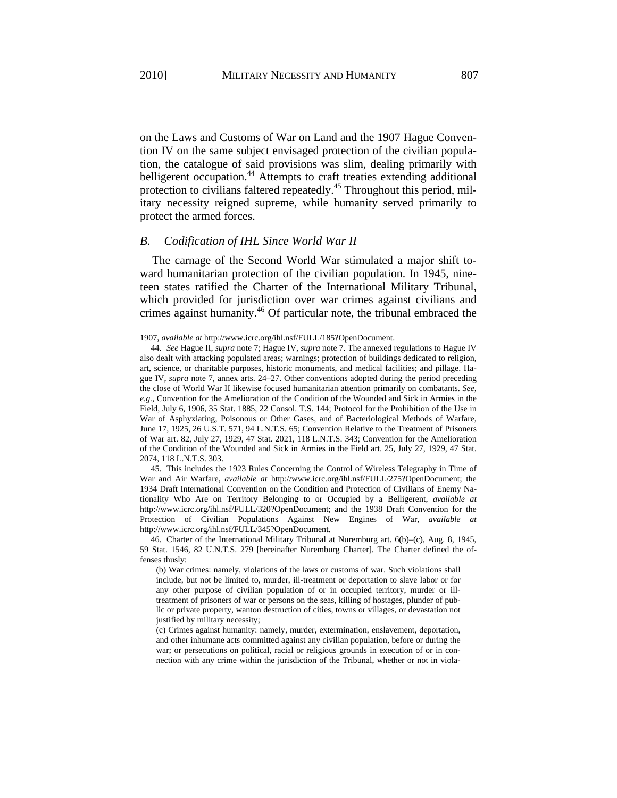l

on the Laws and Customs of War on Land and the 1907 Hague Convention IV on the same subject envisaged protection of the civilian population, the catalogue of said provisions was slim, dealing primarily with belligerent occupation.<sup>44</sup> Attempts to craft treaties extending additional protection to civilians faltered repeatedly.<sup>45</sup> Throughout this period, military necessity reigned supreme, while humanity served primarily to protect the armed forces.

## *B. Codification of IHL Since World War II*

The carnage of the Second World War stimulated a major shift toward humanitarian protection of the civilian population. In 1945, nineteen states ratified the Charter of the International Military Tribunal, which provided for jurisdiction over war crimes against civilians and crimes against humanity.<sup>46</sup> Of particular note, the tribunal embraced the

45. This includes the 1923 Rules Concerning the Control of Wireless Telegraphy in Time of War and Air Warfare, *available at* http://www.icrc.org/ihl.nsf/FULL/275?OpenDocument; the 1934 Draft International Convention on the Condition and Protection of Civilians of Enemy Nationality Who Are on Territory Belonging to or Occupied by a Belligerent, *available at* http://www.icrc.org/ihl.nsf/FULL/320?OpenDocument; and the 1938 Draft Convention for the Protection of Civilian Populations Against New Engines of War, *available at* http://www.icrc.org/ihl.nsf/FULL/345?OpenDocument.

<sup>1907,</sup> *available at* http://www.icrc.org/ihl.nsf/FULL/185?OpenDocument.

<sup>44.</sup> *See* Hague II, *supra* note 7; Hague IV, *supra* note 7. The annexed regulations to Hague IV also dealt with attacking populated areas; warnings; protection of buildings dedicated to religion, art, science, or charitable purposes, historic monuments, and medical facilities; and pillage. Hague IV, *supra* note 7, annex arts. 24–27. Other conventions adopted during the period preceding the close of World War II likewise focused humanitarian attention primarily on combatants. *See, e.g.*, Convention for the Amelioration of the Condition of the Wounded and Sick in Armies in the Field, July 6, 1906, 35 Stat. 1885, 22 Consol. T.S. 144; Protocol for the Prohibition of the Use in War of Asphyxiating, Poisonous or Other Gases, and of Bacteriological Methods of Warfare, June 17, 1925, 26 U.S.T. 571, 94 L.N.T.S. 65; Convention Relative to the Treatment of Prisoners of War art. 82, July 27, 1929, 47 Stat. 2021, 118 L.N.T.S. 343; Convention for the Amelioration of the Condition of the Wounded and Sick in Armies in the Field art. 25, July 27, 1929, 47 Stat. 2074, 118 L.N.T.S. 303.

<sup>46.</sup> Charter of the International Military Tribunal at Nuremburg art. 6(b)–(c), Aug. 8, 1945, 59 Stat. 1546, 82 U.N.T.S. 279 [hereinafter Nuremburg Charter]. The Charter defined the offenses thusly:

<sup>(</sup>b) War crimes: namely, violations of the laws or customs of war. Such violations shall include, but not be limited to, murder, ill-treatment or deportation to slave labor or for any other purpose of civilian population of or in occupied territory, murder or illtreatment of prisoners of war or persons on the seas, killing of hostages, plunder of public or private property, wanton destruction of cities, towns or villages, or devastation not justified by military necessity;

<sup>(</sup>c) Crimes against humanity: namely, murder, extermination, enslavement, deportation, and other inhumane acts committed against any civilian population, before or during the war; or persecutions on political, racial or religious grounds in execution of or in connection with any crime within the jurisdiction of the Tribunal, whether or not in viola-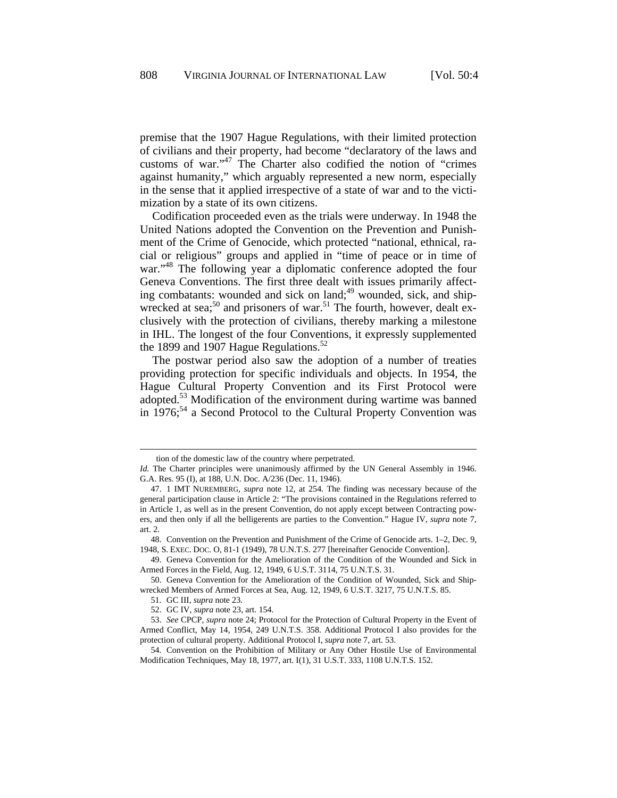premise that the 1907 Hague Regulations, with their limited protection of civilians and their property, had become "declaratory of the laws and customs of war."<sup>47</sup> The Charter also codified the notion of "crimes" against humanity," which arguably represented a new norm, especially in the sense that it applied irrespective of a state of war and to the victimization by a state of its own citizens.

Codification proceeded even as the trials were underway. In 1948 the United Nations adopted the Convention on the Prevention and Punishment of the Crime of Genocide, which protected "national, ethnical, racial or religious" groups and applied in "time of peace or in time of war."<sup>48</sup> The following year a diplomatic conference adopted the four Geneva Conventions. The first three dealt with issues primarily affecting combatants: wounded and sick on land;<sup>49</sup> wounded, sick, and shipwrecked at sea;<sup>50</sup> and prisoners of war.<sup>51</sup> The fourth, however, dealt exclusively with the protection of civilians, thereby marking a milestone in IHL. The longest of the four Conventions, it expressly supplemented the 1899 and 1907 Hague Regulations.<sup>52</sup>

The postwar period also saw the adoption of a number of treaties providing protection for specific individuals and objects. In 1954, the Hague Cultural Property Convention and its First Protocol were adopted.<sup>53</sup> Modification of the environment during wartime was banned in 1976;<sup>54</sup> a Second Protocol to the Cultural Property Convention was

tion of the domestic law of the country where perpetrated.

*Id.* The Charter principles were unanimously affirmed by the UN General Assembly in 1946. G.A. Res. 95 (I), at 188, U.N. Doc. A/236 (Dec. 11, 1946).

<sup>47. 1</sup> IMT NUREMBERG, *supra* note 12, at 254. The finding was necessary because of the general participation clause in Article 2: "The provisions contained in the Regulations referred to in Article 1, as well as in the present Convention, do not apply except between Contracting powers, and then only if all the belligerents are parties to the Convention." Hague IV, *supra* note 7, art. 2.

<sup>48.</sup> Convention on the Prevention and Punishment of the Crime of Genocide arts. 1–2, Dec. 9, 1948, S. EXEC. DOC. O, 81-1 (1949), 78 U.N.T.S. 277 [hereinafter Genocide Convention].

<sup>49.</sup> Geneva Convention for the Amelioration of the Condition of the Wounded and Sick in Armed Forces in the Field, Aug. 12, 1949, 6 U.S.T. 3114, 75 U.N.T.S. 31.

<sup>50.</sup> Geneva Convention for the Amelioration of the Condition of Wounded, Sick and Shipwrecked Members of Armed Forces at Sea, Aug. 12, 1949, 6 U.S.T. 3217, 75 U.N.T.S. 85.

<sup>51.</sup> GC III, *supra* note 23.

<sup>52.</sup> GC IV, *supra* note 23, art. 154.

<sup>53.</sup> *See* CPCP, *supra* note 24; Protocol for the Protection of Cultural Property in the Event of Armed Conflict, May 14, 1954, 249 U.N.T.S. 358. Additional Protocol I also provides for the protection of cultural property. Additional Protocol I, *supra* note 7, art. 53.

<sup>54.</sup> Convention on the Prohibition of Military or Any Other Hostile Use of Environmental Modification Techniques, May 18, 1977, art. I(1), 31 U.S.T. 333, 1108 U.N.T.S. 152.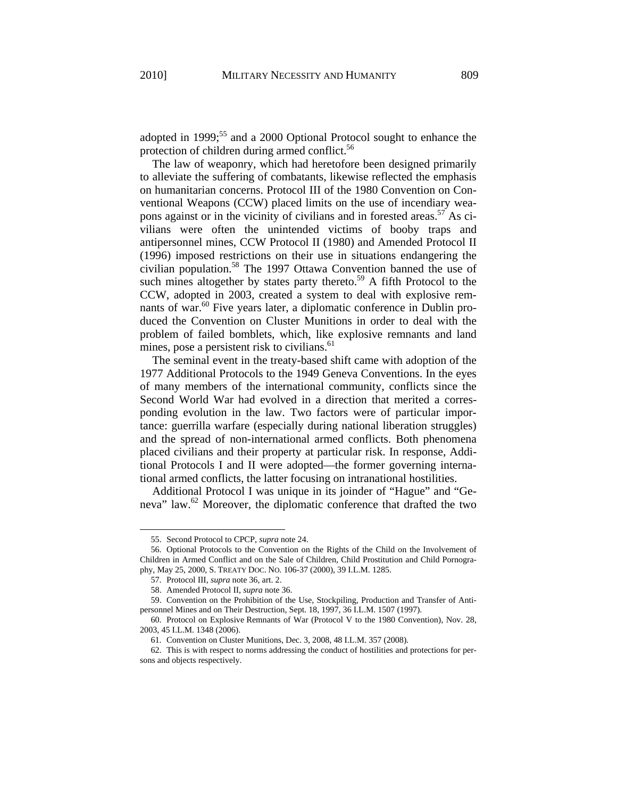adopted in 1999;<sup>55</sup> and a 2000 Optional Protocol sought to enhance the protection of children during armed conflict.<sup>56</sup>

The law of weaponry, which had heretofore been designed primarily to alleviate the suffering of combatants, likewise reflected the emphasis on humanitarian concerns. Protocol III of the 1980 Convention on Conventional Weapons (CCW) placed limits on the use of incendiary weapons against or in the vicinity of civilians and in forested areas.<sup>57</sup> As civilians were often the unintended victims of booby traps and antipersonnel mines, CCW Protocol II (1980) and Amended Protocol II (1996) imposed restrictions on their use in situations endangering the civilian population.58 The 1997 Ottawa Convention banned the use of such mines altogether by states party thereto.<sup>59</sup> A fifth Protocol to the CCW, adopted in 2003, created a system to deal with explosive remnants of war.<sup>60</sup> Five years later, a diplomatic conference in Dublin produced the Convention on Cluster Munitions in order to deal with the problem of failed bomblets, which, like explosive remnants and land mines, pose a persistent risk to civilians.<sup>61</sup>

The seminal event in the treaty-based shift came with adoption of the 1977 Additional Protocols to the 1949 Geneva Conventions. In the eyes of many members of the international community, conflicts since the Second World War had evolved in a direction that merited a corresponding evolution in the law. Two factors were of particular importance: guerrilla warfare (especially during national liberation struggles) and the spread of non-international armed conflicts. Both phenomena placed civilians and their property at particular risk. In response, Additional Protocols I and II were adopted—the former governing international armed conflicts, the latter focusing on intranational hostilities.

Additional Protocol I was unique in its joinder of "Hague" and "Geneva" law.<sup>62</sup> Moreover, the diplomatic conference that drafted the two

<sup>55.</sup> Second Protocol to CPCP, *supra* note 24.

<sup>56.</sup> Optional Protocols to the Convention on the Rights of the Child on the Involvement of Children in Armed Conflict and on the Sale of Children, Child Prostitution and Child Pornography, May 25, 2000, S. TREATY DOC. NO. 106-37 (2000), 39 I.L.M. 1285.

<sup>57.</sup> Protocol III, *supra* note 36, art. 2.

<sup>58.</sup> Amended Protocol II, *supra* note 36.

<sup>59.</sup> Convention on the Prohibition of the Use, Stockpiling, Production and Transfer of Antipersonnel Mines and on Their Destruction, Sept. 18, 1997, 36 I.L.M. 1507 (1997).

<sup>60.</sup> Protocol on Explosive Remnants of War (Protocol V to the 1980 Convention), Nov. 28, 2003, 45 I.L.M. 1348 (2006).

<sup>61.</sup> Convention on Cluster Munitions, Dec. 3, 2008, 48 I.L.M. 357 (2008).

<sup>62.</sup> This is with respect to norms addressing the conduct of hostilities and protections for persons and objects respectively.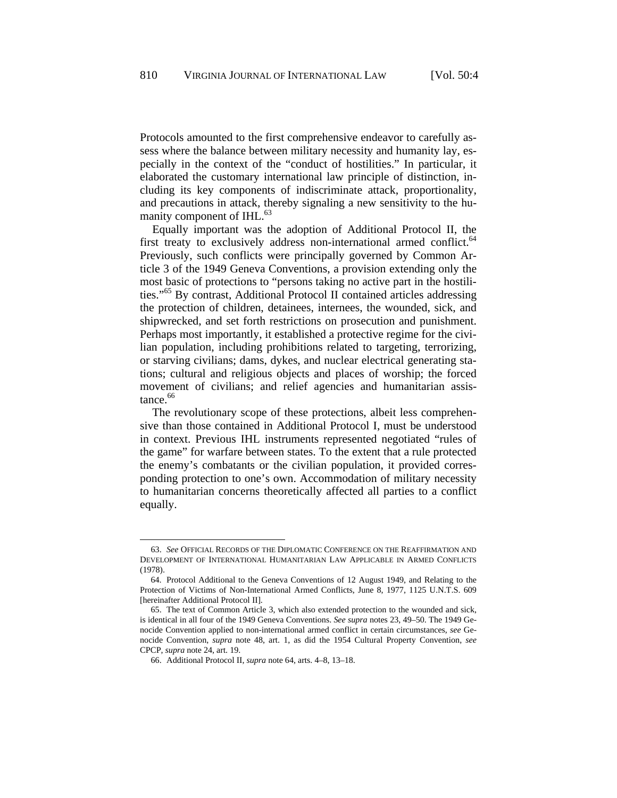Protocols amounted to the first comprehensive endeavor to carefully assess where the balance between military necessity and humanity lay, especially in the context of the "conduct of hostilities." In particular, it elaborated the customary international law principle of distinction, including its key components of indiscriminate attack, proportionality, and precautions in attack, thereby signaling a new sensitivity to the humanity component of IHL.<sup>63</sup>

Equally important was the adoption of Additional Protocol II, the first treaty to exclusively address non-international armed conflict.<sup>64</sup> Previously, such conflicts were principally governed by Common Article 3 of the 1949 Geneva Conventions, a provision extending only the most basic of protections to "persons taking no active part in the hostilities."65 By contrast, Additional Protocol II contained articles addressing the protection of children, detainees, internees, the wounded, sick, and shipwrecked, and set forth restrictions on prosecution and punishment. Perhaps most importantly, it established a protective regime for the civilian population, including prohibitions related to targeting, terrorizing, or starving civilians; dams, dykes, and nuclear electrical generating stations; cultural and religious objects and places of worship; the forced movement of civilians; and relief agencies and humanitarian assistance.<sup>66</sup>

The revolutionary scope of these protections, albeit less comprehensive than those contained in Additional Protocol I, must be understood in context. Previous IHL instruments represented negotiated "rules of the game" for warfare between states. To the extent that a rule protected the enemy's combatants or the civilian population, it provided corresponding protection to one's own. Accommodation of military necessity to humanitarian concerns theoretically affected all parties to a conflict equally.

<sup>63.</sup> *See* OFFICIAL RECORDS OF THE DIPLOMATIC CONFERENCE ON THE REAFFIRMATION AND DEVELOPMENT OF INTERNATIONAL HUMANITARIAN LAW APPLICABLE IN ARMED CONFLICTS (1978).

<sup>64.</sup> Protocol Additional to the Geneva Conventions of 12 August 1949, and Relating to the Protection of Victims of Non-International Armed Conflicts, June 8, 1977, 1125 U.N.T.S. 609 [hereinafter Additional Protocol II].

<sup>65.</sup> The text of Common Article 3, which also extended protection to the wounded and sick, is identical in all four of the 1949 Geneva Conventions. *See supra* notes 23, 49–50. The 1949 Genocide Convention applied to non-international armed conflict in certain circumstances, *see* Genocide Convention, *supra* note 48, art. 1, as did the 1954 Cultural Property Convention, *see*  CPCP, *supra* note 24, art. 19.

<sup>66.</sup> Additional Protocol II, *supra* note 64, arts. 4–8, 13–18.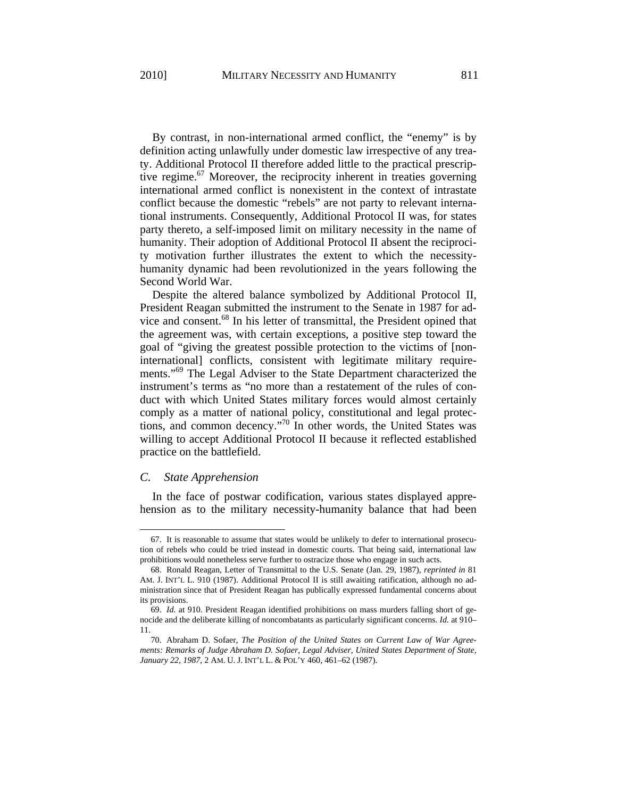By contrast, in non-international armed conflict, the "enemy" is by definition acting unlawfully under domestic law irrespective of any treaty. Additional Protocol II therefore added little to the practical prescriptive regime.<sup>67</sup> Moreover, the reciprocity inherent in treaties governing international armed conflict is nonexistent in the context of intrastate conflict because the domestic "rebels" are not party to relevant international instruments. Consequently, Additional Protocol II was, for states party thereto, a self-imposed limit on military necessity in the name of humanity. Their adoption of Additional Protocol II absent the reciprocity motivation further illustrates the extent to which the necessityhumanity dynamic had been revolutionized in the years following the Second World War.

Despite the altered balance symbolized by Additional Protocol II, President Reagan submitted the instrument to the Senate in 1987 for advice and consent.68 In his letter of transmittal, the President opined that the agreement was, with certain exceptions, a positive step toward the goal of "giving the greatest possible protection to the victims of [noninternational] conflicts, consistent with legitimate military requirements."<sup>69</sup> The Legal Adviser to the State Department characterized the instrument's terms as "no more than a restatement of the rules of conduct with which United States military forces would almost certainly comply as a matter of national policy, constitutional and legal protections, and common decency."70 In other words, the United States was willing to accept Additional Protocol II because it reflected established practice on the battlefield.

# *C. State Apprehension*

-

In the face of postwar codification, various states displayed apprehension as to the military necessity-humanity balance that had been

<sup>67.</sup> It is reasonable to assume that states would be unlikely to defer to international prosecution of rebels who could be tried instead in domestic courts. That being said, international law prohibitions would nonetheless serve further to ostracize those who engage in such acts.

<sup>68.</sup> Ronald Reagan, Letter of Transmittal to the U.S. Senate (Jan. 29, 1987), *reprinted in* 81 AM. J. INT'L L. 910 (1987). Additional Protocol II is still awaiting ratification, although no administration since that of President Reagan has publically expressed fundamental concerns about its provisions.

<sup>69.</sup> *Id.* at 910. President Reagan identified prohibitions on mass murders falling short of genocide and the deliberate killing of noncombatants as particularly significant concerns. *Id.* at 910– 11.

<sup>70.</sup> Abraham D. Sofaer, *The Position of the United States on Current Law of War Agreements: Remarks of Judge Abraham D. Sofaer, Legal Adviser, United States Department of State, January 22, 1987*, 2 AM. U. J. INT'L L. & POL'Y 460, 461–62 (1987).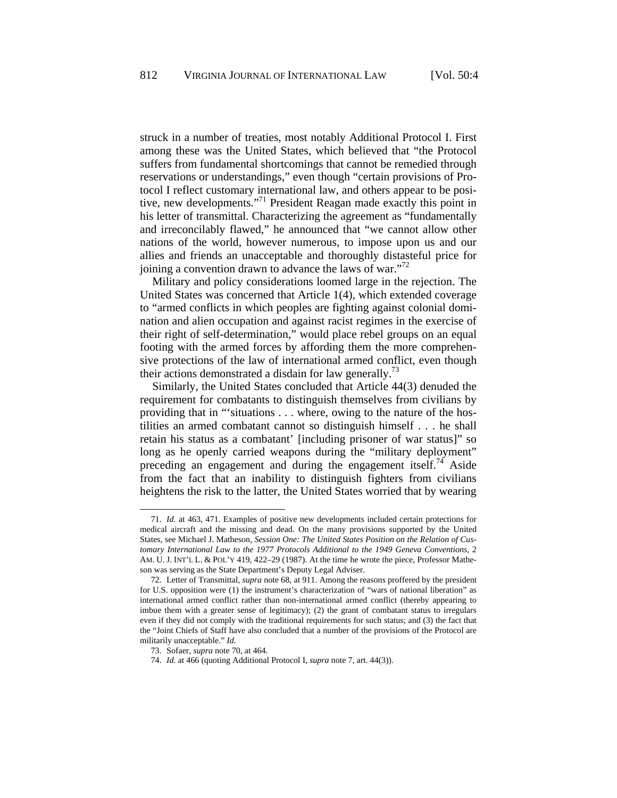struck in a number of treaties, most notably Additional Protocol I. First among these was the United States, which believed that "the Protocol suffers from fundamental shortcomings that cannot be remedied through reservations or understandings," even though "certain provisions of Protocol I reflect customary international law, and others appear to be positive, new developments."71 President Reagan made exactly this point in his letter of transmittal. Characterizing the agreement as "fundamentally and irreconcilably flawed," he announced that "we cannot allow other nations of the world, however numerous, to impose upon us and our allies and friends an unacceptable and thoroughly distasteful price for joining a convention drawn to advance the laws of war. $172$ 

Military and policy considerations loomed large in the rejection. The United States was concerned that Article 1(4), which extended coverage to "armed conflicts in which peoples are fighting against colonial domination and alien occupation and against racist regimes in the exercise of their right of self-determination," would place rebel groups on an equal footing with the armed forces by affording them the more comprehensive protections of the law of international armed conflict, even though their actions demonstrated a disdain for law generally.<sup>73</sup>

Similarly, the United States concluded that Article 44(3) denuded the requirement for combatants to distinguish themselves from civilians by providing that in "'situations . . . where, owing to the nature of the hostilities an armed combatant cannot so distinguish himself . . . he shall retain his status as a combatant' [including prisoner of war status]" so long as he openly carried weapons during the "military deployment" preceding an engagement and during the engagement itself.<sup>74</sup> Aside from the fact that an inability to distinguish fighters from civilians heightens the risk to the latter, the United States worried that by wearing

<sup>71.</sup> *Id.* at 463, 471. Examples of positive new developments included certain protections for medical aircraft and the missing and dead. On the many provisions supported by the United States, see Michael J. Matheson, *Session One: The United States Position on the Relation of Customary International Law to the 1977 Protocols Additional to the 1949 Geneva Conventions*, 2 AM. U. J. INT'L L. & POL'Y 419, 422–29 (1987). At the time he wrote the piece, Professor Matheson was serving as the State Department's Deputy Legal Adviser.

<sup>72.</sup> Letter of Transmittal, *supra* note 68, at 911. Among the reasons proffered by the president for U.S. opposition were (1) the instrument's characterization of "wars of national liberation" as international armed conflict rather than non-international armed conflict (thereby appearing to imbue them with a greater sense of legitimacy); (2) the grant of combatant status to irregulars even if they did not comply with the traditional requirements for such status; and (3) the fact that the "Joint Chiefs of Staff have also concluded that a number of the provisions of the Protocol are militarily unacceptable." *Id.*

<sup>73.</sup> Sofaer, *supra* note 70, at 464.

<sup>74.</sup> *Id.* at 466 (quoting Additional Protocol I, *supra* note 7, art. 44(3)).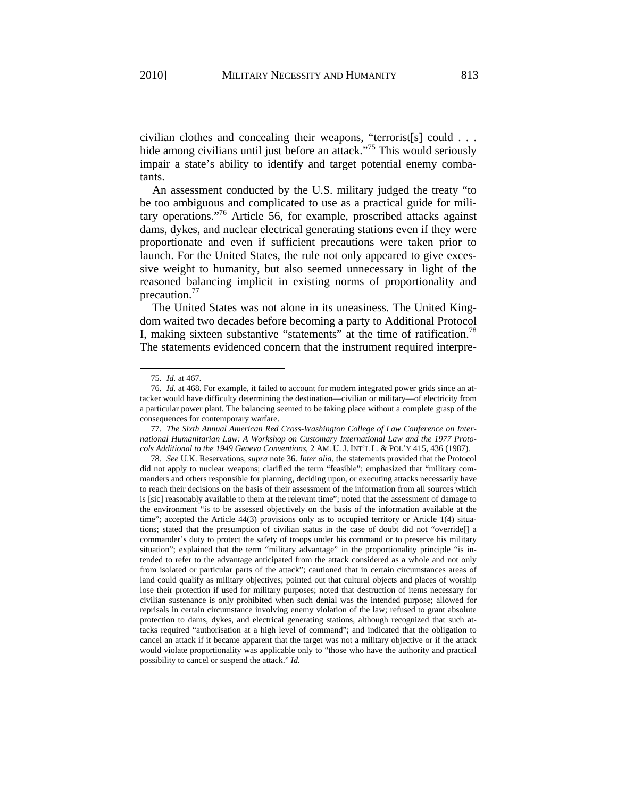civilian clothes and concealing their weapons, "terrorist[s] could . . . hide among civilians until just before an attack."<sup>75</sup> This would seriously impair a state's ability to identify and target potential enemy combatants.

An assessment conducted by the U.S. military judged the treaty "to be too ambiguous and complicated to use as a practical guide for military operations."76 Article 56, for example, proscribed attacks against dams, dykes, and nuclear electrical generating stations even if they were proportionate and even if sufficient precautions were taken prior to launch. For the United States, the rule not only appeared to give excessive weight to humanity, but also seemed unnecessary in light of the reasoned balancing implicit in existing norms of proportionality and precaution.<sup>77</sup>

The United States was not alone in its uneasiness. The United Kingdom waited two decades before becoming a party to Additional Protocol I, making sixteen substantive "statements" at the time of ratification.<sup>78</sup> The statements evidenced concern that the instrument required interpre-

<sup>75.</sup> *Id.* at 467.

<sup>76.</sup> *Id.* at 468. For example, it failed to account for modern integrated power grids since an attacker would have difficulty determining the destination—civilian or military—of electricity from a particular power plant. The balancing seemed to be taking place without a complete grasp of the consequences for contemporary warfare.

<sup>77.</sup> *The Sixth Annual American Red Cross-Washington College of Law Conference on International Humanitarian Law: A Workshop on Customary International Law and the 1977 Protocols Additional to the 1949 Geneva Conventions*, 2 AM. U. J. INT'L L. & POL'Y 415, 436 (1987).

<sup>78.</sup> *See* U.K. Reservations, *supra* note 36. *Inter alia*, the statements provided that the Protocol did not apply to nuclear weapons; clarified the term "feasible"; emphasized that "military commanders and others responsible for planning, deciding upon, or executing attacks necessarily have to reach their decisions on the basis of their assessment of the information from all sources which is [sic] reasonably available to them at the relevant time"; noted that the assessment of damage to the environment "is to be assessed objectively on the basis of the information available at the time"; accepted the Article 44(3) provisions only as to occupied territory or Article 1(4) situations; stated that the presumption of civilian status in the case of doubt did not "override[] a commander's duty to protect the safety of troops under his command or to preserve his military situation"; explained that the term "military advantage" in the proportionality principle "is intended to refer to the advantage anticipated from the attack considered as a whole and not only from isolated or particular parts of the attack"; cautioned that in certain circumstances areas of land could qualify as military objectives; pointed out that cultural objects and places of worship lose their protection if used for military purposes; noted that destruction of items necessary for civilian sustenance is only prohibited when such denial was the intended purpose; allowed for reprisals in certain circumstance involving enemy violation of the law; refused to grant absolute protection to dams, dykes, and electrical generating stations, although recognized that such attacks required "authorisation at a high level of command"; and indicated that the obligation to cancel an attack if it became apparent that the target was not a military objective or if the attack would violate proportionality was applicable only to "those who have the authority and practical possibility to cancel or suspend the attack." *Id.*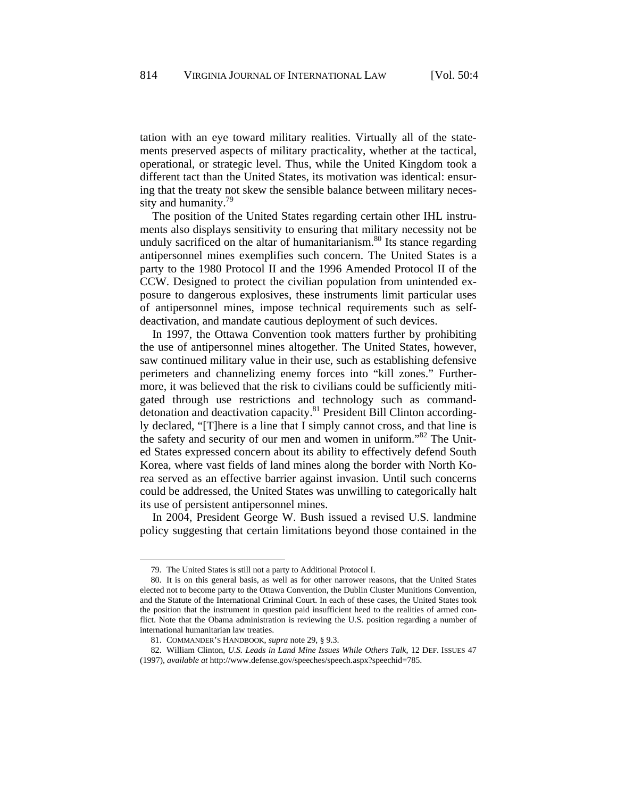tation with an eye toward military realities. Virtually all of the statements preserved aspects of military practicality, whether at the tactical, operational, or strategic level. Thus, while the United Kingdom took a different tact than the United States, its motivation was identical: ensuring that the treaty not skew the sensible balance between military necessity and humanity. $^{79}$ 

The position of the United States regarding certain other IHL instruments also displays sensitivity to ensuring that military necessity not be unduly sacrificed on the altar of humanitarianism. $80$  Its stance regarding antipersonnel mines exemplifies such concern. The United States is a party to the 1980 Protocol II and the 1996 Amended Protocol II of the CCW. Designed to protect the civilian population from unintended exposure to dangerous explosives, these instruments limit particular uses of antipersonnel mines, impose technical requirements such as selfdeactivation, and mandate cautious deployment of such devices.

In 1997, the Ottawa Convention took matters further by prohibiting the use of antipersonnel mines altogether. The United States, however, saw continued military value in their use, such as establishing defensive perimeters and channelizing enemy forces into "kill zones." Furthermore, it was believed that the risk to civilians could be sufficiently mitigated through use restrictions and technology such as commanddetonation and deactivation capacity.<sup>81</sup> President Bill Clinton accordingly declared, "[T]here is a line that I simply cannot cross, and that line is the safety and security of our men and women in uniform."<sup>82</sup> The United States expressed concern about its ability to effectively defend South Korea, where vast fields of land mines along the border with North Korea served as an effective barrier against invasion. Until such concerns could be addressed, the United States was unwilling to categorically halt its use of persistent antipersonnel mines.

In 2004, President George W. Bush issued a revised U.S. landmine policy suggesting that certain limitations beyond those contained in the

<sup>79.</sup> The United States is still not a party to Additional Protocol I.

<sup>80.</sup> It is on this general basis, as well as for other narrower reasons, that the United States elected not to become party to the Ottawa Convention, the Dublin Cluster Munitions Convention, and the Statute of the International Criminal Court. In each of these cases, the United States took the position that the instrument in question paid insufficient heed to the realities of armed conflict. Note that the Obama administration is reviewing the U.S. position regarding a number of international humanitarian law treaties.

<sup>81.</sup> COMMANDER'S HANDBOOK, *supra* note 29, § 9.3.

<sup>82.</sup> William Clinton, *U.S. Leads in Land Mine Issues While Others Talk*, 12 DEF. ISSUES 47 (1997), *available at* http://www.defense.gov/speeches/speech.aspx?speechid=785.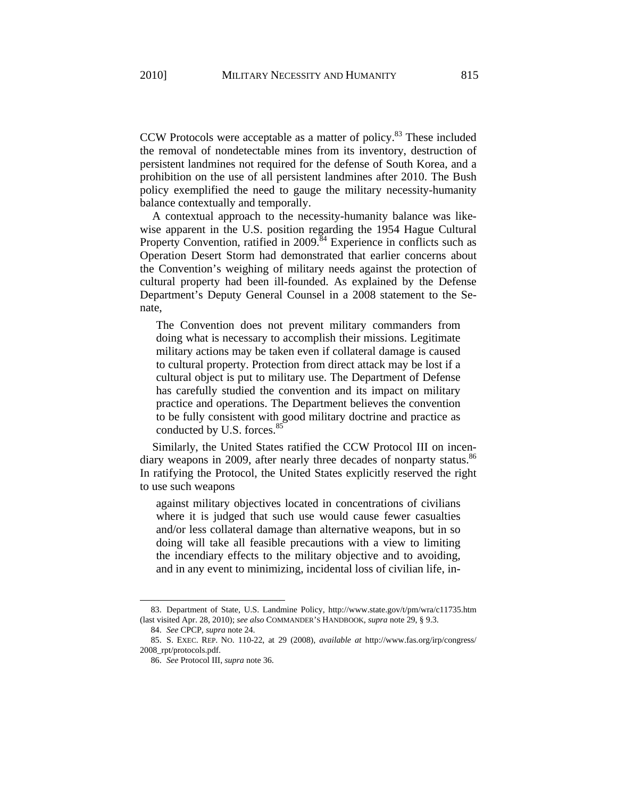CCW Protocols were acceptable as a matter of policy.<sup>83</sup> These included the removal of nondetectable mines from its inventory, destruction of persistent landmines not required for the defense of South Korea, and a prohibition on the use of all persistent landmines after 2010. The Bush policy exemplified the need to gauge the military necessity-humanity balance contextually and temporally.

A contextual approach to the necessity-humanity balance was likewise apparent in the U.S. position regarding the 1954 Hague Cultural Property Convention, ratified in 2009.<sup>84</sup> Experience in conflicts such as Operation Desert Storm had demonstrated that earlier concerns about the Convention's weighing of military needs against the protection of cultural property had been ill-founded. As explained by the Defense Department's Deputy General Counsel in a 2008 statement to the Senate,

The Convention does not prevent military commanders from doing what is necessary to accomplish their missions. Legitimate military actions may be taken even if collateral damage is caused to cultural property. Protection from direct attack may be lost if a cultural object is put to military use. The Department of Defense has carefully studied the convention and its impact on military practice and operations. The Department believes the convention to be fully consistent with good military doctrine and practice as conducted by U.S. forces.<sup>85</sup>

Similarly, the United States ratified the CCW Protocol III on incendiary weapons in 2009, after nearly three decades of nonparty status.<sup>86</sup> In ratifying the Protocol, the United States explicitly reserved the right to use such weapons

against military objectives located in concentrations of civilians where it is judged that such use would cause fewer casualties and/or less collateral damage than alternative weapons, but in so doing will take all feasible precautions with a view to limiting the incendiary effects to the military objective and to avoiding, and in any event to minimizing, incidental loss of civilian life, in-

<sup>83.</sup> Department of State, U.S. Landmine Policy, http://www.state.gov/t/pm/wra/c11735.htm (last visited Apr. 28, 2010); *see also* COMMANDER'S HANDBOOK, *supra* note 29, § 9.3.

<sup>84.</sup> *See* CPCP, *supra* note 24.

<sup>85.</sup> S. EXEC. REP. NO. 110-22, at 29 (2008), *available at* http://www.fas.org/irp/congress/ 2008\_rpt/protocols.pdf.

<sup>86.</sup> *See* Protocol III, *supra* note 36.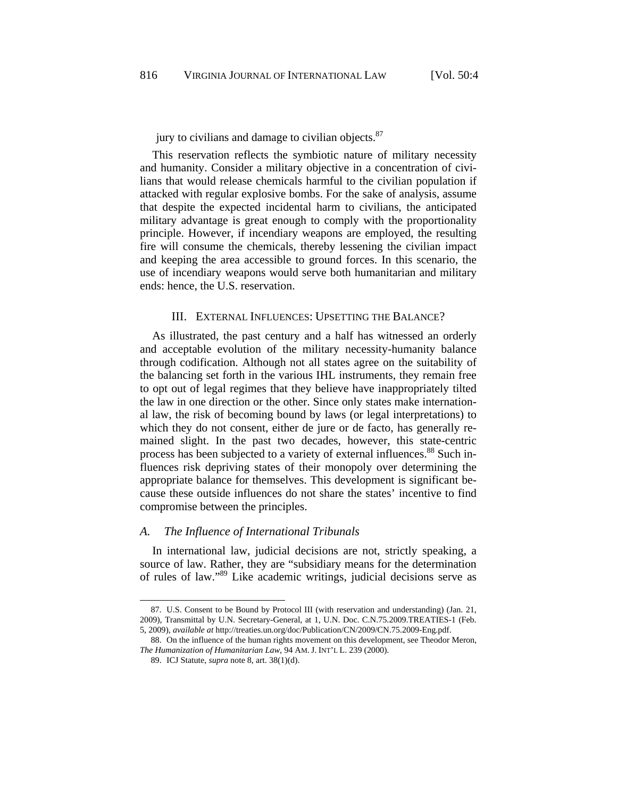# jury to civilians and damage to civilian objects. $87$

This reservation reflects the symbiotic nature of military necessity and humanity. Consider a military objective in a concentration of civilians that would release chemicals harmful to the civilian population if attacked with regular explosive bombs. For the sake of analysis, assume that despite the expected incidental harm to civilians, the anticipated military advantage is great enough to comply with the proportionality principle. However, if incendiary weapons are employed, the resulting fire will consume the chemicals, thereby lessening the civilian impact and keeping the area accessible to ground forces. In this scenario, the use of incendiary weapons would serve both humanitarian and military ends: hence, the U.S. reservation.

#### III. EXTERNAL INFLUENCES: UPSETTING THE BALANCE?

As illustrated, the past century and a half has witnessed an orderly and acceptable evolution of the military necessity-humanity balance through codification. Although not all states agree on the suitability of the balancing set forth in the various IHL instruments, they remain free to opt out of legal regimes that they believe have inappropriately tilted the law in one direction or the other. Since only states make international law, the risk of becoming bound by laws (or legal interpretations) to which they do not consent, either de jure or de facto, has generally remained slight. In the past two decades, however, this state-centric process has been subjected to a variety of external influences.<sup>88</sup> Such influences risk depriving states of their monopoly over determining the appropriate balance for themselves. This development is significant because these outside influences do not share the states' incentive to find compromise between the principles.

#### *A. The Influence of International Tribunals*

In international law, judicial decisions are not, strictly speaking, a source of law. Rather, they are "subsidiary means for the determination of rules of law."89 Like academic writings, judicial decisions serve as

<sup>87.</sup> U.S. Consent to be Bound by Protocol III (with reservation and understanding) (Jan. 21, 2009), Transmittal by U.N. Secretary-General, at 1, U.N. Doc. C.N.75.2009.TREATIES-1 (Feb. 5, 2009), *available at* http://treaties.un.org/doc/Publication/CN/2009/CN.75.2009-Eng.pdf.

<sup>88.</sup> On the influence of the human rights movement on this development, see Theodor Meron, *The Humanization of Humanitarian Law*, 94 AM. J. INT'L L. 239 (2000).

<sup>89.</sup> ICJ Statute, *supra* note 8, art. 38(1)(d).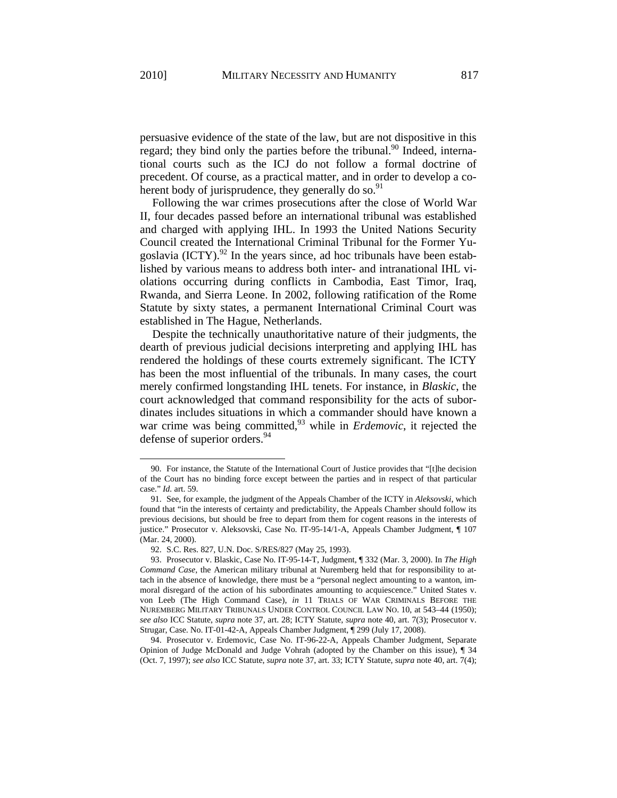persuasive evidence of the state of the law, but are not dispositive in this regard; they bind only the parties before the tribunal.<sup>90</sup> Indeed, international courts such as the ICJ do not follow a formal doctrine of precedent. Of course, as a practical matter, and in order to develop a coherent body of jurisprudence, they generally do so.<sup>91</sup>

Following the war crimes prosecutions after the close of World War II, four decades passed before an international tribunal was established and charged with applying IHL. In 1993 the United Nations Security Council created the International Criminal Tribunal for the Former Yugoslavia  $\left(\text{ICTY}\right)^{92}$  In the years since, ad hoc tribunals have been established by various means to address both inter- and intranational IHL violations occurring during conflicts in Cambodia, East Timor, Iraq, Rwanda, and Sierra Leone. In 2002, following ratification of the Rome Statute by sixty states, a permanent International Criminal Court was established in The Hague, Netherlands.

Despite the technically unauthoritative nature of their judgments, the dearth of previous judicial decisions interpreting and applying IHL has rendered the holdings of these courts extremely significant. The ICTY has been the most influential of the tribunals. In many cases, the court merely confirmed longstanding IHL tenets. For instance, in *Blaskic*, the court acknowledged that command responsibility for the acts of subordinates includes situations in which a commander should have known a war crime was being committed,<sup>93</sup> while in *Erdemovic*, it rejected the defense of superior orders.<sup>94</sup>

<sup>90.</sup> For instance, the Statute of the International Court of Justice provides that "[t]he decision of the Court has no binding force except between the parties and in respect of that particular case." *Id.* art. 59.

<sup>91.</sup> See, for example, the judgment of the Appeals Chamber of the ICTY in *Aleksovski*, which found that "in the interests of certainty and predictability, the Appeals Chamber should follow its previous decisions, but should be free to depart from them for cogent reasons in the interests of justice." Prosecutor v. Aleksovski, Case No. IT-95-14/1-A, Appeals Chamber Judgment, ¶ 107 (Mar. 24, 2000).

<sup>92.</sup> S.C. Res. 827, U.N. Doc. S/RES/827 (May 25, 1993).

<sup>93.</sup> Prosecutor v. Blaskic, Case No. IT-95-14-T, Judgment, ¶ 332 (Mar. 3, 2000). In *The High Command Case*, the American military tribunal at Nuremberg held that for responsibility to attach in the absence of knowledge, there must be a "personal neglect amounting to a wanton, immoral disregard of the action of his subordinates amounting to acquiescence." United States v. von Leeb (The High Command Case), *in* 11 TRIALS OF WAR CRIMINALS BEFORE THE NUREMBERG MILITARY TRIBUNALS UNDER CONTROL COUNCIL LAW NO. 10, at 543–44 (1950); *see also* ICC Statute, *supra* note 37, art. 28; ICTY Statute, *supra* note 40, art. 7(3); Prosecutor v. Strugar, Case. No. IT-01-42-A, Appeals Chamber Judgment, ¶ 299 (July 17, 2008).

<sup>94.</sup> Prosecutor v. Erdemovic, Case No. IT-96-22-A, Appeals Chamber Judgment, Separate Opinion of Judge McDonald and Judge Vohrah (adopted by the Chamber on this issue), ¶ 34 (Oct. 7, 1997); *see also* ICC Statute, *supra* note 37, art. 33; ICTY Statute, *supra* note 40, art. 7(4);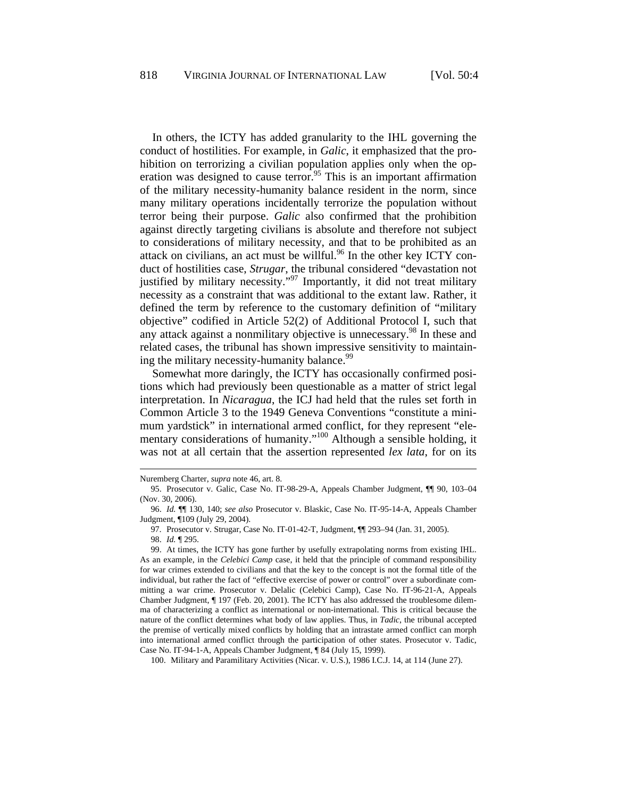In others, the ICTY has added granularity to the IHL governing the conduct of hostilities. For example, in *Galic*, it emphasized that the prohibition on terrorizing a civilian population applies only when the operation was designed to cause terror.<sup>95</sup> This is an important affirmation of the military necessity-humanity balance resident in the norm, since many military operations incidentally terrorize the population without terror being their purpose. *Galic* also confirmed that the prohibition against directly targeting civilians is absolute and therefore not subject to considerations of military necessity, and that to be prohibited as an attack on civilians, an act must be willful.<sup>96</sup> In the other key ICTY conduct of hostilities case, *Strugar*, the tribunal considered "devastation not justified by military necessity."<sup>97</sup> Importantly, it did not treat military necessity as a constraint that was additional to the extant law. Rather, it defined the term by reference to the customary definition of "military objective" codified in Article 52(2) of Additional Protocol I, such that any attack against a nonmilitary objective is unnecessary.<sup>98</sup> In these and related cases, the tribunal has shown impressive sensitivity to maintaining the military necessity-humanity balance.<sup>99</sup>

Somewhat more daringly, the ICTY has occasionally confirmed positions which had previously been questionable as a matter of strict legal interpretation. In *Nicaragua*, the ICJ had held that the rules set forth in Common Article 3 to the 1949 Geneva Conventions "constitute a minimum yardstick" in international armed conflict, for they represent "elementary considerations of humanity."100 Although a sensible holding, it was not at all certain that the assertion represented *lex lata*, for on its

Nuremberg Charter, *supra* note 46, art. 8.

<sup>95.</sup> Prosecutor v. Galic, Case No. IT-98-29-A, Appeals Chamber Judgment, ¶¶ 90, 103–04 (Nov. 30, 2006).

<sup>96.</sup> *Id.* ¶¶ 130, 140; *see also* Prosecutor v. Blaskic, Case No. IT-95-14-A, Appeals Chamber Judgment, ¶109 (July 29, 2004).

<sup>97.</sup> Prosecutor v. Strugar, Case No. IT-01-42-T, Judgment, ¶¶ 293–94 (Jan. 31, 2005).

<sup>98.</sup> *Id.* ¶ 295.

<sup>99.</sup> At times, the ICTY has gone further by usefully extrapolating norms from existing IHL. As an example, in the *Celebici Camp* case, it held that the principle of command responsibility for war crimes extended to civilians and that the key to the concept is not the formal title of the individual, but rather the fact of "effective exercise of power or control" over a subordinate committing a war crime. Prosecutor v. Delalic (Celebici Camp), Case No. IT-96-21-A, Appeals Chamber Judgment, ¶ 197 (Feb. 20, 2001). The ICTY has also addressed the troublesome dilemma of characterizing a conflict as international or non-international. This is critical because the nature of the conflict determines what body of law applies. Thus, in *Tadic*, the tribunal accepted the premise of vertically mixed conflicts by holding that an intrastate armed conflict can morph into international armed conflict through the participation of other states. Prosecutor v. Tadic, Case No. IT-94-1-A, Appeals Chamber Judgment, ¶ 84 (July 15, 1999).

<sup>100.</sup> Military and Paramilitary Activities (Nicar. v. U.S.), 1986 I.C.J. 14, at 114 (June 27).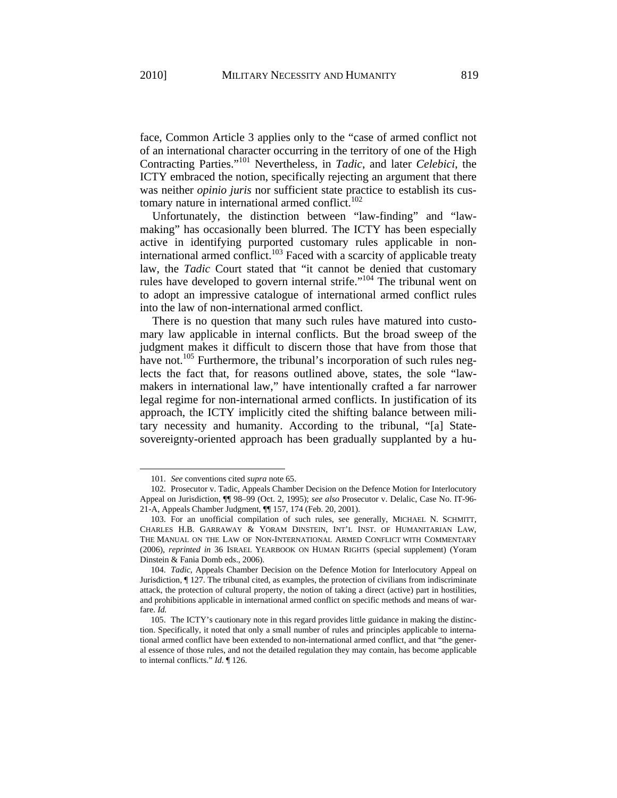face, Common Article 3 applies only to the "case of armed conflict not of an international character occurring in the territory of one of the High Contracting Parties."101 Nevertheless, in *Tadic*, and later *Celebici*, the ICTY embraced the notion, specifically rejecting an argument that there was neither *opinio juris* nor sufficient state practice to establish its customary nature in international armed conflict. $102$ 

Unfortunately, the distinction between "law-finding" and "lawmaking" has occasionally been blurred. The ICTY has been especially active in identifying purported customary rules applicable in noninternational armed conflict.<sup>103</sup> Faced with a scarcity of applicable treaty law, the *Tadic* Court stated that "it cannot be denied that customary rules have developed to govern internal strife."104 The tribunal went on to adopt an impressive catalogue of international armed conflict rules into the law of non-international armed conflict.

There is no question that many such rules have matured into customary law applicable in internal conflicts. But the broad sweep of the judgment makes it difficult to discern those that have from those that have not.<sup>105</sup> Furthermore, the tribunal's incorporation of such rules neglects the fact that, for reasons outlined above, states, the sole "lawmakers in international law," have intentionally crafted a far narrower legal regime for non-international armed conflicts. In justification of its approach, the ICTY implicitly cited the shifting balance between military necessity and humanity. According to the tribunal, "[a] Statesovereignty-oriented approach has been gradually supplanted by a hu-

<sup>101.</sup> *See* conventions cited *supra* note 65.

<sup>102.</sup> Prosecutor v. Tadic, Appeals Chamber Decision on the Defence Motion for Interlocutory Appeal on Jurisdiction, ¶¶ 98–99 (Oct. 2, 1995); *see also* Prosecutor v. Delalic, Case No. IT-96- 21-A, Appeals Chamber Judgment, ¶¶ 157, 174 (Feb. 20, 2001).

<sup>103.</sup> For an unofficial compilation of such rules, see generally, MICHAEL N. SCHMITT, CHARLES H.B. GARRAWAY & YORAM DINSTEIN, INT'L INST. OF HUMANITARIAN LAW, THE MANUAL ON THE LAW OF NON-INTERNATIONAL ARMED CONFLICT WITH COMMENTARY (2006), *reprinted in* 36 ISRAEL YEARBOOK ON HUMAN RIGHTS (special supplement) (Yoram Dinstein & Fania Domb eds., 2006).

<sup>104.</sup> *Tadic*, Appeals Chamber Decision on the Defence Motion for Interlocutory Appeal on Jurisdiction, ¶ 127. The tribunal cited, as examples, the protection of civilians from indiscriminate attack, the protection of cultural property, the notion of taking a direct (active) part in hostilities, and prohibitions applicable in international armed conflict on specific methods and means of warfare. *Id.*

<sup>105.</sup> The ICTY's cautionary note in this regard provides little guidance in making the distinction. Specifically, it noted that only a small number of rules and principles applicable to international armed conflict have been extended to non-international armed conflict, and that "the general essence of those rules, and not the detailed regulation they may contain, has become applicable to internal conflicts." *Id.* ¶ 126.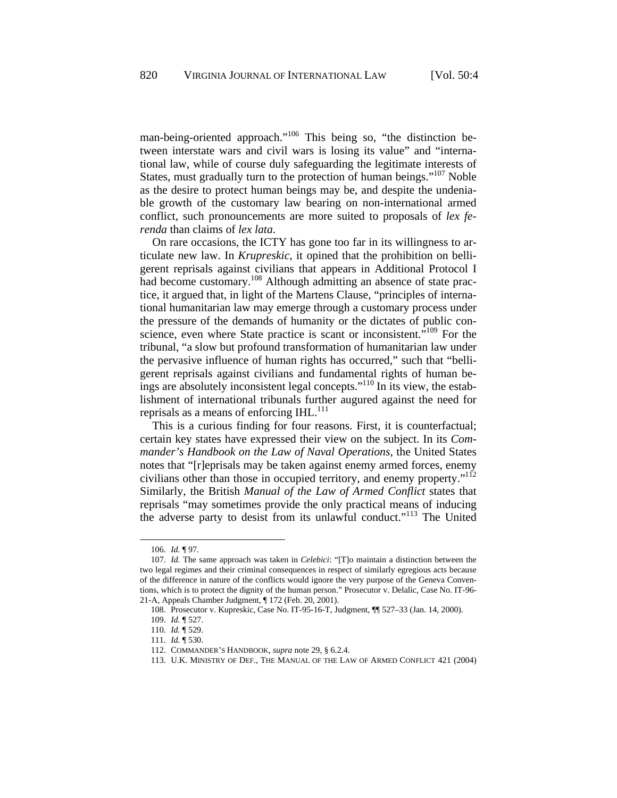man-being-oriented approach."<sup>106</sup> This being so, "the distinction between interstate wars and civil wars is losing its value" and "international law, while of course duly safeguarding the legitimate interests of States, must gradually turn to the protection of human beings."<sup>107</sup> Noble as the desire to protect human beings may be, and despite the undeniable growth of the customary law bearing on non-international armed conflict, such pronouncements are more suited to proposals of *lex ferenda* than claims of *lex lata*.

On rare occasions, the ICTY has gone too far in its willingness to articulate new law. In *Krupreskic*, it opined that the prohibition on belligerent reprisals against civilians that appears in Additional Protocol I had become customary.<sup>108</sup> Although admitting an absence of state practice, it argued that, in light of the Martens Clause, "principles of international humanitarian law may emerge through a customary process under the pressure of the demands of humanity or the dictates of public conscience, even where State practice is scant or inconsistent.<sup>7109</sup> For the tribunal, "a slow but profound transformation of humanitarian law under the pervasive influence of human rights has occurred," such that "belligerent reprisals against civilians and fundamental rights of human beings are absolutely inconsistent legal concepts."<sup>110</sup> In its view, the establishment of international tribunals further augured against the need for reprisals as a means of enforcing  $HIL$ <sup>111</sup>

This is a curious finding for four reasons. First, it is counterfactual; certain key states have expressed their view on the subject. In its *Commander's Handbook on the Law of Naval Operations*, the United States notes that "[r]eprisals may be taken against enemy armed forces, enemy civilians other than those in occupied territory, and enemy property."<sup>112</sup> Similarly, the British *Manual of the Law of Armed Conflict* states that reprisals "may sometimes provide the only practical means of inducing the adverse party to desist from its unlawful conduct."<sup>113</sup> The United

<sup>106.</sup> *Id.* ¶ 97.

<sup>107.</sup> *Id.* The same approach was taken in *Celebici*: "[T]o maintain a distinction between the two legal regimes and their criminal consequences in respect of similarly egregious acts because of the difference in nature of the conflicts would ignore the very purpose of the Geneva Conventions, which is to protect the dignity of the human person." Prosecutor v. Delalic, Case No. IT-96- 21-A, Appeals Chamber Judgment, ¶ 172 (Feb. 20, 2001).

<sup>108.</sup> Prosecutor v. Kupreskic, Case No. IT-95-16-T, Judgment, ¶¶ 527–33 (Jan. 14, 2000).

<sup>109.</sup> *Id.* ¶ 527.

<sup>110.</sup> *Id.* ¶ 529.

<sup>111.</sup> *Id.* ¶ 530.

<sup>112.</sup> COMMANDER'S HANDBOOK, *supra* note 29, § 6.2.4.

<sup>113.</sup> U.K. MINISTRY OF DEF., THE MANUAL OF THE LAW OF ARMED CONFLICT 421 (2004)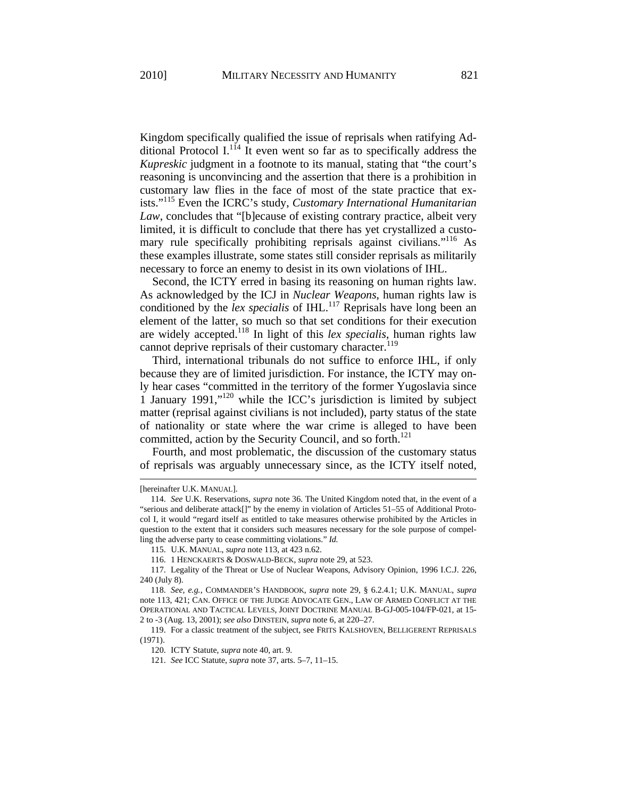Kingdom specifically qualified the issue of reprisals when ratifying Additional Protocol  $I^{114}$ . It even went so far as to specifically address the *Kupreskic* judgment in a footnote to its manual, stating that "the court's reasoning is unconvincing and the assertion that there is a prohibition in customary law flies in the face of most of the state practice that exists."115 Even the ICRC's study, *Customary International Humanitarian Law*, concludes that "[b]ecause of existing contrary practice, albeit very limited, it is difficult to conclude that there has yet crystallized a customary rule specifically prohibiting reprisals against civilians."<sup>116</sup> As these examples illustrate, some states still consider reprisals as militarily necessary to force an enemy to desist in its own violations of IHL.

Second, the ICTY erred in basing its reasoning on human rights law. As acknowledged by the ICJ in *Nuclear Weapons*, human rights law is conditioned by the *lex specialis* of IHL.<sup>117</sup> Reprisals have long been an element of the latter, so much so that set conditions for their execution are widely accepted.118 In light of this *lex specialis*, human rights law cannot deprive reprisals of their customary character.<sup>119</sup>

Third, international tribunals do not suffice to enforce IHL, if only because they are of limited jurisdiction. For instance, the ICTY may only hear cases "committed in the territory of the former Yugoslavia since 1 January 1991," $^{120}$  while the ICC's jurisdiction is limited by subject matter (reprisal against civilians is not included), party status of the state of nationality or state where the war crime is alleged to have been committed, action by the Security Council, and so forth. $^{121}$ 

Fourth, and most problematic, the discussion of the customary status of reprisals was arguably unnecessary since, as the ICTY itself noted,

<sup>[</sup>hereinafter U.K. MANUAL].

<sup>114.</sup> *See* U.K. Reservations, *supra* note 36. The United Kingdom noted that, in the event of a "serious and deliberate attack[]" by the enemy in violation of Articles 51–55 of Additional Protocol I, it would "regard itself as entitled to take measures otherwise prohibited by the Articles in question to the extent that it considers such measures necessary for the sole purpose of compelling the adverse party to cease committing violations." *Id.*

<sup>115.</sup> U.K. MANUAL, *supra* note 113, at 423 n.62.

<sup>116. 1</sup> HENCKAERTS & DOSWALD-BECK, *supra* note 29, at 523.

<sup>117.</sup> Legality of the Threat or Use of Nuclear Weapons, Advisory Opinion, 1996 I.C.J. 226, 240 (July 8).

<sup>118.</sup> *See, e.g.*, COMMANDER'S HANDBOOK, *supra* note 29, § 6.2.4.1; U.K. MANUAL, *supra*  note 113, 421; CAN. OFFICE OF THE JUDGE ADVOCATE GEN., LAW OF ARMED CONFLICT AT THE OPERATIONAL AND TACTICAL LEVELS, JOINT DOCTRINE MANUAL B-GJ-005-104/FP-021, at 15- 2 to -3 (Aug. 13, 2001); *see also* DINSTEIN, *supra* note 6, at 220–27.

<sup>119.</sup> For a classic treatment of the subject, see FRITS KALSHOVEN, BELLIGERENT REPRISALS (1971).

<sup>120.</sup> ICTY Statute, *supra* note 40, art. 9.

<sup>121.</sup> *See* ICC Statute, *supra* note 37, arts. 5–7, 11–15.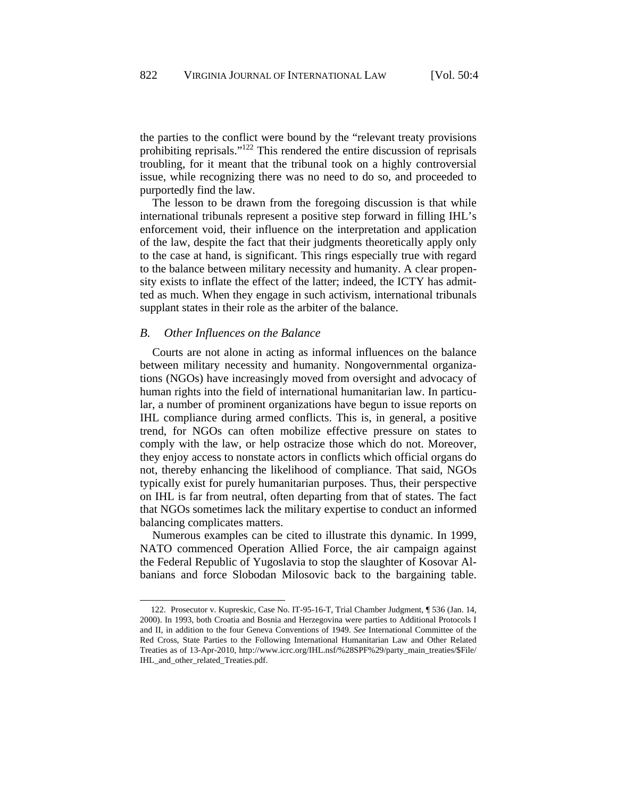the parties to the conflict were bound by the "relevant treaty provisions prohibiting reprisals."122 This rendered the entire discussion of reprisals troubling, for it meant that the tribunal took on a highly controversial issue, while recognizing there was no need to do so, and proceeded to purportedly find the law.

The lesson to be drawn from the foregoing discussion is that while international tribunals represent a positive step forward in filling IHL's enforcement void, their influence on the interpretation and application of the law, despite the fact that their judgments theoretically apply only to the case at hand, is significant. This rings especially true with regard to the balance between military necessity and humanity. A clear propensity exists to inflate the effect of the latter; indeed, the ICTY has admitted as much. When they engage in such activism, international tribunals supplant states in their role as the arbiter of the balance.

## *B. Other Influences on the Balance*

1

Courts are not alone in acting as informal influences on the balance between military necessity and humanity. Nongovernmental organizations (NGOs) have increasingly moved from oversight and advocacy of human rights into the field of international humanitarian law. In particular, a number of prominent organizations have begun to issue reports on IHL compliance during armed conflicts. This is, in general, a positive trend, for NGOs can often mobilize effective pressure on states to comply with the law, or help ostracize those which do not. Moreover, they enjoy access to nonstate actors in conflicts which official organs do not, thereby enhancing the likelihood of compliance. That said, NGOs typically exist for purely humanitarian purposes. Thus, their perspective on IHL is far from neutral, often departing from that of states. The fact that NGOs sometimes lack the military expertise to conduct an informed balancing complicates matters.

Numerous examples can be cited to illustrate this dynamic. In 1999, NATO commenced Operation Allied Force, the air campaign against the Federal Republic of Yugoslavia to stop the slaughter of Kosovar Albanians and force Slobodan Milosovic back to the bargaining table.

<sup>122.</sup> Prosecutor v. Kupreskic, Case No. IT-95-16-T, Trial Chamber Judgment, ¶ 536 (Jan. 14, 2000). In 1993, both Croatia and Bosnia and Herzegovina were parties to Additional Protocols I and II, in addition to the four Geneva Conventions of 1949. *See* International Committee of the Red Cross, State Parties to the Following International Humanitarian Law and Other Related Treaties as of 13-Apr-2010, http://www.icrc.org/IHL.nsf/%28SPF%29/party\_main\_treaties/\$File/ IHL\_and\_other\_related\_Treaties.pdf.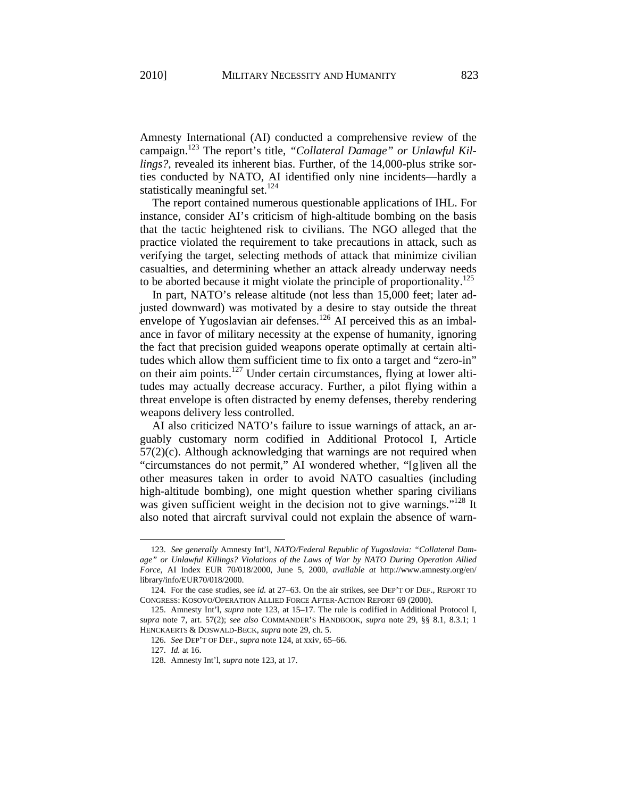Amnesty International (AI) conducted a comprehensive review of the campaign.123 The report's title, *"Collateral Damage" or Unlawful Killings?*, revealed its inherent bias. Further, of the 14,000-plus strike sorties conducted by NATO, AI identified only nine incidents—hardly a statistically meaningful set. $124$ 

The report contained numerous questionable applications of IHL. For instance, consider AI's criticism of high-altitude bombing on the basis that the tactic heightened risk to civilians. The NGO alleged that the practice violated the requirement to take precautions in attack, such as verifying the target, selecting methods of attack that minimize civilian casualties, and determining whether an attack already underway needs to be aborted because it might violate the principle of proportionality.<sup>125</sup>

In part, NATO's release altitude (not less than 15,000 feet; later adjusted downward) was motivated by a desire to stay outside the threat envelope of Yugoslavian air defenses.<sup>126</sup> AI perceived this as an imbalance in favor of military necessity at the expense of humanity, ignoring the fact that precision guided weapons operate optimally at certain altitudes which allow them sufficient time to fix onto a target and "zero-in" on their aim points.<sup>127</sup> Under certain circumstances, flying at lower altitudes may actually decrease accuracy. Further, a pilot flying within a threat envelope is often distracted by enemy defenses, thereby rendering weapons delivery less controlled.

AI also criticized NATO's failure to issue warnings of attack, an arguably customary norm codified in Additional Protocol I, Article  $57(2)(c)$ . Although acknowledging that warnings are not required when "circumstances do not permit," AI wondered whether, "[g]iven all the other measures taken in order to avoid NATO casualties (including high-altitude bombing), one might question whether sparing civilians was given sufficient weight in the decision not to give warnings."<sup>128</sup> It also noted that aircraft survival could not explain the absence of warn-

<sup>123.</sup> *See generally* Amnesty Int'l, *NATO/Federal Republic of Yugoslavia: "Collateral Damage" or Unlawful Killings? Violations of the Laws of War by NATO During Operation Allied Force*, AI Index EUR 70/018/2000, June 5, 2000, *available at* http://www.amnesty.org/en/ library/info/EUR70/018/2000.

<sup>124.</sup> For the case studies, see *id.* at 27–63. On the air strikes, see DEP'T OF DEF., REPORT TO CONGRESS: KOSOVO/OPERATION ALLIED FORCE AFTER-ACTION REPORT 69 (2000).

<sup>125.</sup> Amnesty Int'l, *supra* note 123, at 15–17. The rule is codified in Additional Protocol I, *supra* note 7, art. 57(2); *see also* COMMANDER'S HANDBOOK, *supra* note 29, §§ 8.1, 8.3.1; 1 HENCKAERTS & DOSWALD-BECK, *supra* note 29, ch. 5.

<sup>126.</sup> *See* DEP'T OF DEF., *supra* note 124, at xxiv, 65–66.

<sup>127.</sup> *Id.* at 16.

<sup>128.</sup> Amnesty Int'l, *supra* note 123, at 17.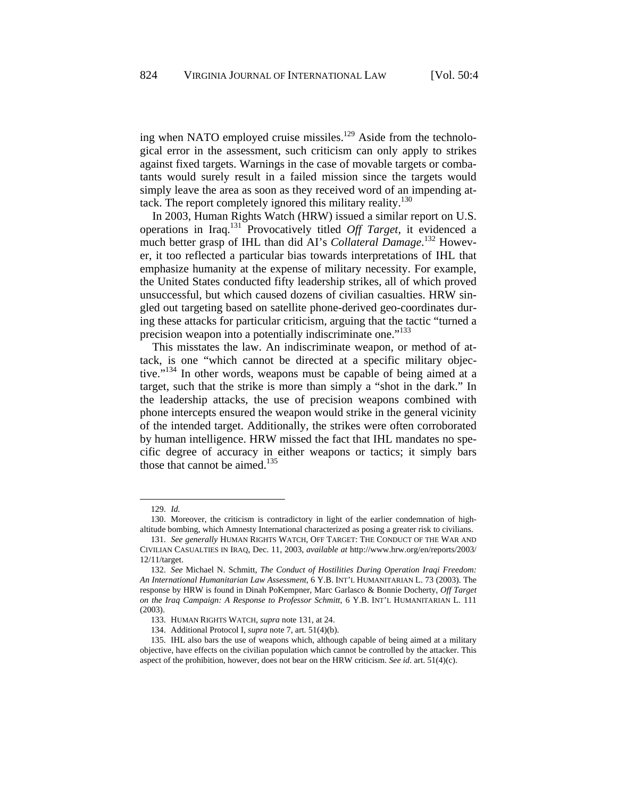ing when NATO employed cruise missiles.<sup>129</sup> Aside from the technological error in the assessment, such criticism can only apply to strikes against fixed targets. Warnings in the case of movable targets or combatants would surely result in a failed mission since the targets would simply leave the area as soon as they received word of an impending attack. The report completely ignored this military reality.<sup>130</sup>

In 2003, Human Rights Watch (HRW) issued a similar report on U.S. operations in Iraq.131 Provocatively titled *Off Target*, it evidenced a much better grasp of IHL than did AI's *Collateral Damage*. 132 However, it too reflected a particular bias towards interpretations of IHL that emphasize humanity at the expense of military necessity. For example, the United States conducted fifty leadership strikes, all of which proved unsuccessful, but which caused dozens of civilian casualties. HRW singled out targeting based on satellite phone-derived geo-coordinates during these attacks for particular criticism, arguing that the tactic "turned a precision weapon into a potentially indiscriminate one."<sup>133</sup>

This misstates the law. An indiscriminate weapon, or method of attack, is one "which cannot be directed at a specific military objective."<sup>134</sup> In other words, weapons must be capable of being aimed at a target, such that the strike is more than simply a "shot in the dark." In the leadership attacks, the use of precision weapons combined with phone intercepts ensured the weapon would strike in the general vicinity of the intended target. Additionally, the strikes were often corroborated by human intelligence. HRW missed the fact that IHL mandates no specific degree of accuracy in either weapons or tactics; it simply bars those that cannot be aimed.<sup>135</sup>

<sup>129.</sup> *Id.*

<sup>130.</sup> Moreover, the criticism is contradictory in light of the earlier condemnation of highaltitude bombing, which Amnesty International characterized as posing a greater risk to civilians.

<sup>131.</sup> *See generally* HUMAN RIGHTS WATCH, OFF TARGET: THE CONDUCT OF THE WAR AND CIVILIAN CASUALTIES IN IRAQ, Dec. 11, 2003, *available at* http://www.hrw.org/en/reports/2003/ 12/11/target.

<sup>132.</sup> *See* Michael N. Schmitt, *The Conduct of Hostilities During Operation Iraqi Freedom: An International Humanitarian Law Assessment*, 6 Y.B. INT'L HUMANITARIAN L. 73 (2003). The response by HRW is found in Dinah PoKempner, Marc Garlasco & Bonnie Docherty, *Off Target on the Iraq Campaign: A Response to Professor Schmitt*, 6 Y.B. INT'L HUMANITARIAN L. 111 (2003).

<sup>133.</sup> HUMAN RIGHTS WATCH, *supra* note 131, at 24.

<sup>134.</sup> Additional Protocol I, *supra* note 7, art. 51(4)(b).

<sup>135.</sup> IHL also bars the use of weapons which, although capable of being aimed at a military objective, have effects on the civilian population which cannot be controlled by the attacker. This aspect of the prohibition, however, does not bear on the HRW criticism. *See id*. art. 51(4)(c).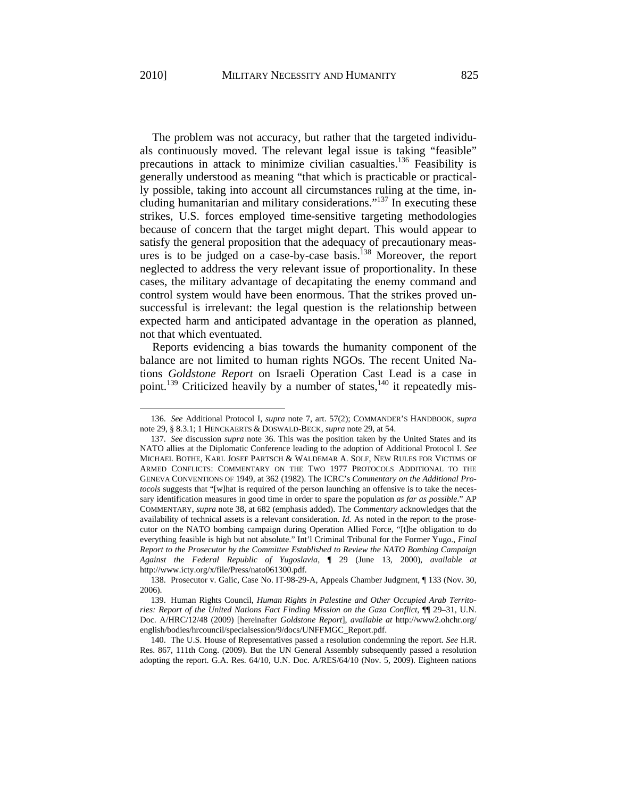-

The problem was not accuracy, but rather that the targeted individuals continuously moved. The relevant legal issue is taking "feasible" precautions in attack to minimize civilian casualties.<sup>136</sup> Feasibility is generally understood as meaning "that which is practicable or practically possible, taking into account all circumstances ruling at the time, including humanitarian and military considerations."137 In executing these strikes, U.S. forces employed time-sensitive targeting methodologies because of concern that the target might depart. This would appear to satisfy the general proposition that the adequacy of precautionary measures is to be judged on a case-by-case basis.138 Moreover, the report neglected to address the very relevant issue of proportionality. In these cases, the military advantage of decapitating the enemy command and control system would have been enormous. That the strikes proved unsuccessful is irrelevant: the legal question is the relationship between expected harm and anticipated advantage in the operation as planned, not that which eventuated.

Reports evidencing a bias towards the humanity component of the balance are not limited to human rights NGOs. The recent United Nations *Goldstone Report* on Israeli Operation Cast Lead is a case in point.<sup>139</sup> Criticized heavily by a number of states,<sup>140</sup> it repeatedly mis-

<sup>136.</sup> *See* Additional Protocol I, *supra* note 7, art. 57(2); COMMANDER'S HANDBOOK, *supra*  note 29, § 8.3.1; 1 HENCKAERTS & DOSWALD-BECK, *supra* note 29, at 54.

<sup>137.</sup> *See* discussion *supra* note 36. This was the position taken by the United States and its NATO allies at the Diplomatic Conference leading to the adoption of Additional Protocol I. *See*  MICHAEL BOTHE, KARL JOSEF PARTSCH & WALDEMAR A. SOLF, NEW RULES FOR VICTIMS OF ARMED CONFLICTS: COMMENTARY ON THE TWO 1977 PROTOCOLS ADDITIONAL TO THE GENEVA CONVENTIONS OF 1949, at 362 (1982). The ICRC's *Commentary on the Additional Protocols* suggests that "[w]hat is required of the person launching an offensive is to take the necessary identification measures in good time in order to spare the population *as far as possible*." AP COMMENTARY, *supra* note 38, at 682 (emphasis added). The *Commentary* acknowledges that the availability of technical assets is a relevant consideration. *Id.* As noted in the report to the prosecutor on the NATO bombing campaign during Operation Allied Force, "[t]he obligation to do everything feasible is high but not absolute." Int'l Criminal Tribunal for the Former Yugo., *Final Report to the Prosecutor by the Committee Established to Review the NATO Bombing Campaign Against the Federal Republic of Yugoslavia*, ¶ 29 (June 13, 2000), *available at*  http://www.icty.org/x/file/Press/nato061300.pdf.

<sup>138.</sup> Prosecutor v. Galic, Case No. IT-98-29-A, Appeals Chamber Judgment, ¶ 133 (Nov. 30, 2006).

<sup>139.</sup> Human Rights Council, *Human Rights in Palestine and Other Occupied Arab Territories: Report of the United Nations Fact Finding Mission on the Gaza Conflict*, ¶¶ 29–31, U.N. Doc. A/HRC/12/48 (2009) [hereinafter *Goldstone Report*], *available at* http://www2.ohchr.org/ english/bodies/hrcouncil/specialsession/9/docs/UNFFMGC\_Report.pdf.

<sup>140.</sup> The U.S. House of Representatives passed a resolution condemning the report. *See* H.R. Res. 867, 111th Cong. (2009). But the UN General Assembly subsequently passed a resolution adopting the report. G.A. Res. 64/10, U.N. Doc. A/RES/64/10 (Nov. 5, 2009). Eighteen nations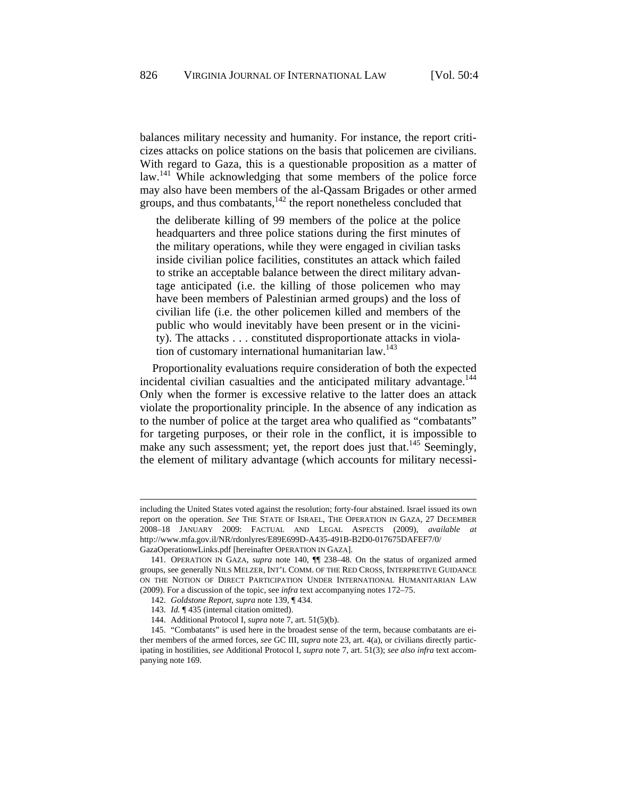balances military necessity and humanity. For instance, the report criticizes attacks on police stations on the basis that policemen are civilians. With regard to Gaza, this is a questionable proposition as a matter of law.<sup>141</sup> While acknowledging that some members of the police force may also have been members of the al-Qassam Brigades or other armed groups, and thus combatants, $142$  the report nonetheless concluded that

the deliberate killing of 99 members of the police at the police headquarters and three police stations during the first minutes of the military operations, while they were engaged in civilian tasks inside civilian police facilities, constitutes an attack which failed to strike an acceptable balance between the direct military advantage anticipated (i.e. the killing of those policemen who may have been members of Palestinian armed groups) and the loss of civilian life (i.e. the other policemen killed and members of the public who would inevitably have been present or in the vicinity). The attacks . . . constituted disproportionate attacks in violation of customary international humanitarian law.<sup>143</sup>

Proportionality evaluations require consideration of both the expected incidental civilian casualties and the anticipated military advantage.<sup>144</sup> Only when the former is excessive relative to the latter does an attack violate the proportionality principle. In the absence of any indication as to the number of police at the target area who qualified as "combatants" for targeting purposes, or their role in the conflict, it is impossible to make any such assessment; yet, the report does just that.<sup>145</sup> Seemingly, the element of military advantage (which accounts for military necessi-

including the United States voted against the resolution; forty-four abstained. Israel issued its own report on the operation. *See* THE STATE OF ISRAEL, THE OPERATION IN GAZA, 27 DECEMBER 2008–18 JANUARY 2009: FACTUAL AND LEGAL ASPECTS (2009), *available at* http://www.mfa.gov.il/NR/rdonlyres/E89E699D-A435-491B-B2D0-017675DAFEF7/0/ GazaOperationwLinks.pdf [hereinafter OPERATION IN GAZA].

<sup>141.</sup> OPERATION IN GAZA, *supra* note 140, ¶¶ 238–48. On the status of organized armed groups, see generally NILS MELZER, INT'L COMM. OF THE RED CROSS, INTERPRETIVE GUIDANCE ON THE NOTION OF DIRECT PARTICIPATION UNDER INTERNATIONAL HUMANITARIAN LAW (2009). For a discussion of the topic, see *infra* text accompanying notes 172–75.

<sup>142.</sup> *Goldstone Report*, *supra* note 139, ¶ 434.

<sup>143.</sup> *Id.* ¶ 435 (internal citation omitted).

<sup>144.</sup> Additional Protocol I, *supra* note 7, art. 51(5)(b).

<sup>145. &</sup>quot;Combatants" is used here in the broadest sense of the term, because combatants are either members of the armed forces, *see* GC III, *supra* note 23, art. 4(a), or civilians directly participating in hostilities, *see* Additional Protocol I, *supra* note 7, art. 51(3); *see also infra* text accompanying note 169.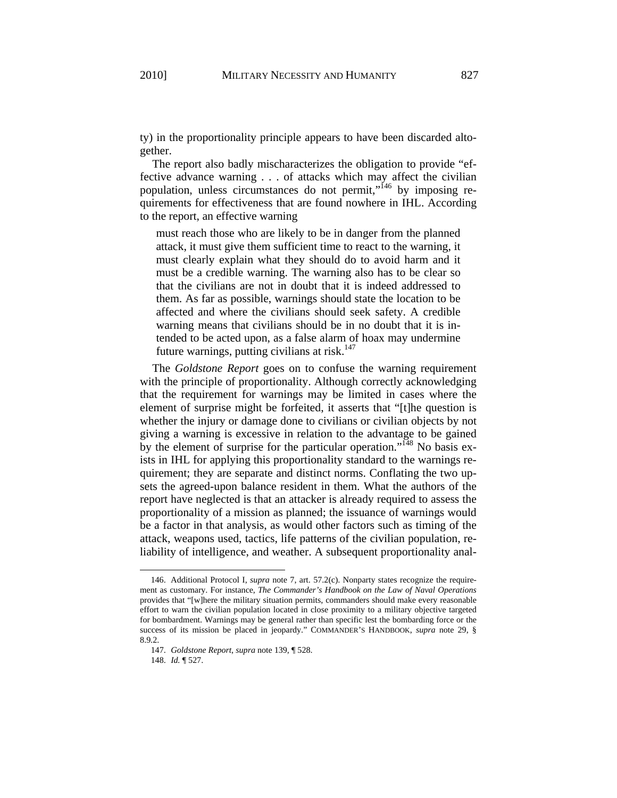ty) in the proportionality principle appears to have been discarded altogether.

The report also badly mischaracterizes the obligation to provide "effective advance warning . . . of attacks which may affect the civilian population, unless circumstances do not permit, $v^{146}$  by imposing requirements for effectiveness that are found nowhere in IHL. According to the report, an effective warning

must reach those who are likely to be in danger from the planned attack, it must give them sufficient time to react to the warning, it must clearly explain what they should do to avoid harm and it must be a credible warning. The warning also has to be clear so that the civilians are not in doubt that it is indeed addressed to them. As far as possible, warnings should state the location to be affected and where the civilians should seek safety. A credible warning means that civilians should be in no doubt that it is intended to be acted upon, as a false alarm of hoax may undermine future warnings, putting civilians at risk.<sup>147</sup>

The *Goldstone Report* goes on to confuse the warning requirement with the principle of proportionality. Although correctly acknowledging that the requirement for warnings may be limited in cases where the element of surprise might be forfeited, it asserts that "[t]he question is whether the injury or damage done to civilians or civilian objects by not giving a warning is excessive in relation to the advantage to be gained by the element of surprise for the particular operation."<sup>148</sup> No basis exists in IHL for applying this proportionality standard to the warnings requirement; they are separate and distinct norms. Conflating the two upsets the agreed-upon balance resident in them. What the authors of the report have neglected is that an attacker is already required to assess the proportionality of a mission as planned; the issuance of warnings would be a factor in that analysis, as would other factors such as timing of the attack, weapons used, tactics, life patterns of the civilian population, reliability of intelligence, and weather. A subsequent proportionality anal-

<sup>146.</sup> Additional Protocol I, *supra* note 7, art. 57.2(c). Nonparty states recognize the requirement as customary. For instance, *The Commander's Handbook on the Law of Naval Operations* provides that "[w]here the military situation permits, commanders should make every reasonable effort to warn the civilian population located in close proximity to a military objective targeted for bombardment. Warnings may be general rather than specific lest the bombarding force or the success of its mission be placed in jeopardy." COMMANDER'S HANDBOOK, *supra* note 29, § 8.9.2.

<sup>147.</sup> *Goldstone Report*, *supra* note 139, ¶ 528.

<sup>148.</sup> *Id.* ¶ 527.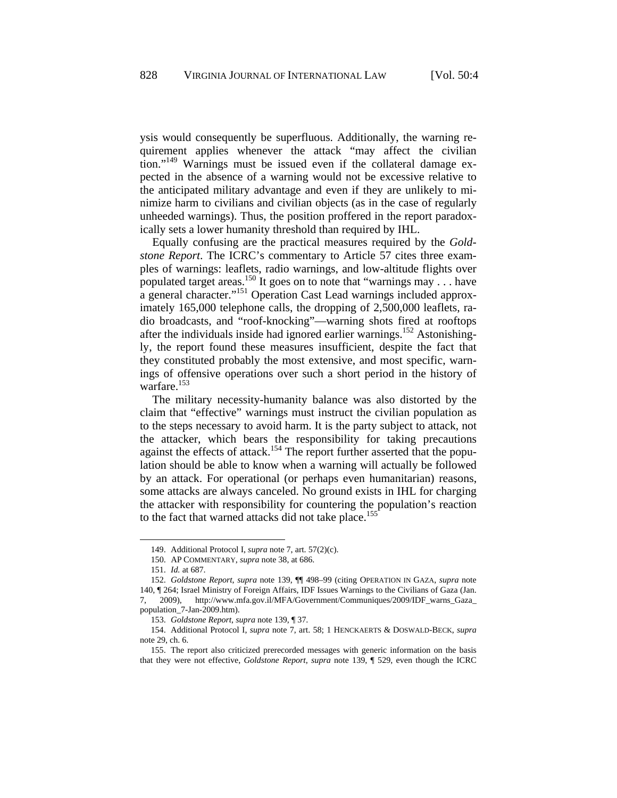ysis would consequently be superfluous. Additionally, the warning requirement applies whenever the attack "may affect the civilian tion."<sup>149</sup> Warnings must be issued even if the collateral damage expected in the absence of a warning would not be excessive relative to the anticipated military advantage and even if they are unlikely to minimize harm to civilians and civilian objects (as in the case of regularly unheeded warnings). Thus, the position proffered in the report paradoxically sets a lower humanity threshold than required by IHL.

Equally confusing are the practical measures required by the *Goldstone Report*. The ICRC's commentary to Article 57 cites three examples of warnings: leaflets, radio warnings, and low-altitude flights over populated target areas.<sup>150</sup> It goes on to note that "warnings may  $\dots$  have a general character."151 Operation Cast Lead warnings included approximately 165,000 telephone calls, the dropping of 2,500,000 leaflets, radio broadcasts, and "roof-knocking"—warning shots fired at rooftops after the individuals inside had ignored earlier warnings.152 Astonishingly, the report found these measures insufficient, despite the fact that they constituted probably the most extensive, and most specific, warnings of offensive operations over such a short period in the history of warfare.<sup>153</sup>

The military necessity-humanity balance was also distorted by the claim that "effective" warnings must instruct the civilian population as to the steps necessary to avoid harm. It is the party subject to attack, not the attacker, which bears the responsibility for taking precautions against the effects of attack.154 The report further asserted that the population should be able to know when a warning will actually be followed by an attack. For operational (or perhaps even humanitarian) reasons, some attacks are always canceled. No ground exists in IHL for charging the attacker with responsibility for countering the population's reaction to the fact that warned attacks did not take place.<sup>155</sup>

<sup>149.</sup> Additional Protocol I, *supra* note 7, art. 57(2)(c).

<sup>150.</sup> AP COMMENTARY, *supra* note 38, at 686.

<sup>151.</sup> *Id.* at 687.

<sup>152.</sup> *Goldstone Report*, *supra* note 139, ¶¶ 498–99 (citing OPERATION IN GAZA, *supra* note 140, ¶ 264; Israel Ministry of Foreign Affairs, IDF Issues Warnings to the Civilians of Gaza (Jan. 7, 2009), http://www.mfa.gov.il/MFA/Government/Communiques/2009/IDF\_warns\_Gaza\_

population\_7-Jan-2009.htm).

<sup>153.</sup> *Goldstone Report*, *supra* note 139, ¶ 37.

<sup>154.</sup> Additional Protocol I, *supra* note 7, art. 58; 1 HENCKAERTS & DOSWALD-BECK, *supra*  note 29, ch. 6.

<sup>155.</sup> The report also criticized prerecorded messages with generic information on the basis that they were not effective, *Goldstone Report*, *supra* note 139, ¶ 529, even though the ICRC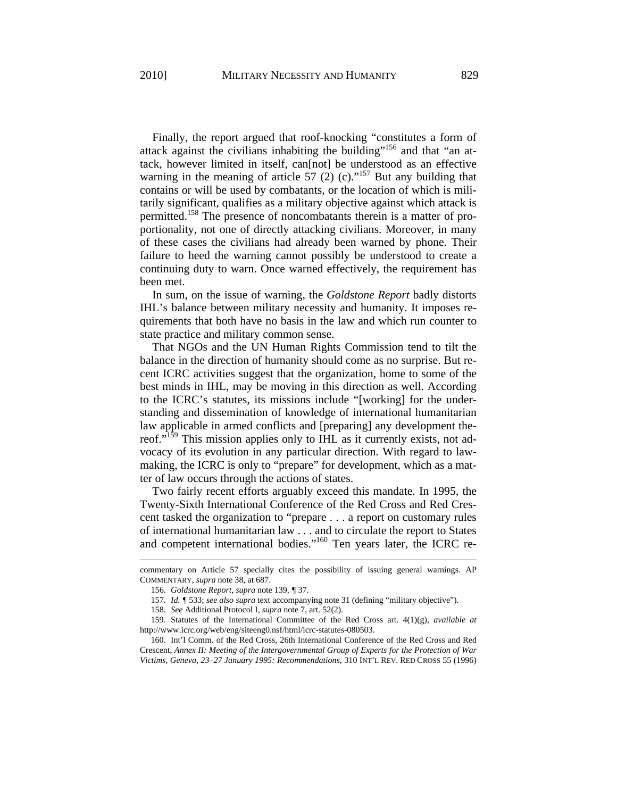Finally, the report argued that roof-knocking "constitutes a form of attack against the civilians inhabiting the building"156 and that "an attack, however limited in itself, can[not] be understood as an effective warning in the meaning of article  $57$  (2) (c)."<sup>157</sup> But any building that contains or will be used by combatants, or the location of which is militarily significant, qualifies as a military objective against which attack is permitted.158 The presence of noncombatants therein is a matter of proportionality, not one of directly attacking civilians. Moreover, in many of these cases the civilians had already been warned by phone. Their failure to heed the warning cannot possibly be understood to create a continuing duty to warn. Once warned effectively, the requirement has been met.

In sum, on the issue of warning, the *Goldstone Report* badly distorts IHL's balance between military necessity and humanity. It imposes requirements that both have no basis in the law and which run counter to state practice and military common sense.

That NGOs and the UN Human Rights Commission tend to tilt the balance in the direction of humanity should come as no surprise. But recent ICRC activities suggest that the organization, home to some of the best minds in IHL, may be moving in this direction as well. According to the ICRC's statutes, its missions include "[working] for the understanding and dissemination of knowledge of international humanitarian law applicable in armed conflicts and [preparing] any development thereof.<sup> $159$ </sup> This mission applies only to IHL as it currently exists, not advocacy of its evolution in any particular direction. With regard to lawmaking, the ICRC is only to "prepare" for development, which as a matter of law occurs through the actions of states.

Two fairly recent efforts arguably exceed this mandate. In 1995, the Twenty-Sixth International Conference of the Red Cross and Red Crescent tasked the organization to "prepare . . . a report on customary rules of international humanitarian law . . . and to circulate the report to States and competent international bodies."160 Ten years later, the ICRC re-

commentary on Article 57 specially cites the possibility of issuing general warnings. AP COMMENTARY, *supra* note 38, at 687.

<sup>156.</sup> *Goldstone Report*, *supra* note 139, *¶* 37.

<sup>157.</sup> *Id. ¶* 533; *see also supra* text accompanying note 31 (defining "military objective").

<sup>158.</sup> *See* Additional Protocol I, *supra* note 7, art. 52(2).

<sup>159.</sup> Statutes of the International Committee of the Red Cross art. 4(1)(g), *available at* http://www.icrc.org/web/eng/siteeng0.nsf/html/icrc-statutes-080503.

<sup>160.</sup> Int'l Comm. of the Red Cross, 26th International Conference of the Red Cross and Red Crescent, *Annex II: Meeting of the Intergovernmental Group of Experts for the Protection of War Victims, Geneva, 23–27 January 1995: Recommendations*, 310 INT'L REV. RED CROSS 55 (1996)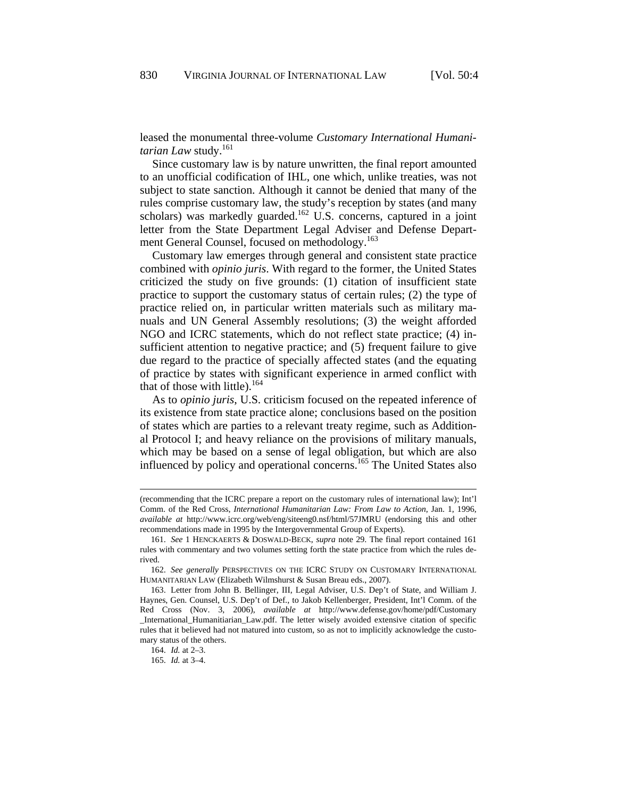leased the monumental three-volume *Customary International Humanitarian Law* study.<sup>161</sup>

Since customary law is by nature unwritten, the final report amounted to an unofficial codification of IHL, one which, unlike treaties, was not subject to state sanction. Although it cannot be denied that many of the rules comprise customary law, the study's reception by states (and many scholars) was markedly guarded.<sup>162</sup> U.S. concerns, captured in a joint letter from the State Department Legal Adviser and Defense Department General Counsel, focused on methodology.<sup>163</sup>

Customary law emerges through general and consistent state practice combined with *opinio juris*. With regard to the former, the United States criticized the study on five grounds: (1) citation of insufficient state practice to support the customary status of certain rules; (2) the type of practice relied on, in particular written materials such as military manuals and UN General Assembly resolutions; (3) the weight afforded NGO and ICRC statements, which do not reflect state practice; (4) insufficient attention to negative practice; and (5) frequent failure to give due regard to the practice of specially affected states (and the equating of practice by states with significant experience in armed conflict with that of those with little). $164$ 

As to *opinio juris*, U.S. criticism focused on the repeated inference of its existence from state practice alone; conclusions based on the position of states which are parties to a relevant treaty regime, such as Additional Protocol I; and heavy reliance on the provisions of military manuals, which may be based on a sense of legal obligation, but which are also influenced by policy and operational concerns.<sup>165</sup> The United States also

<sup>(</sup>recommending that the ICRC prepare a report on the customary rules of international law); Int'l Comm. of the Red Cross, *International Humanitarian Law: From Law to Action*, Jan. 1, 1996, *available at* http://www.icrc.org/web/eng/siteeng0.nsf/html/57JMRU (endorsing this and other recommendations made in 1995 by the Intergovernmental Group of Experts).

<sup>161.</sup> *See* 1 HENCKAERTS & DOSWALD-BECK, *supra* note 29. The final report contained 161 rules with commentary and two volumes setting forth the state practice from which the rules derived.

<sup>162.</sup> *See generally* PERSPECTIVES ON THE ICRC STUDY ON CUSTOMARY INTERNATIONAL HUMANITARIAN LAW (Elizabeth Wilmshurst & Susan Breau eds., 2007).

<sup>163.</sup> Letter from John B. Bellinger, III, Legal Adviser, U.S. Dep't of State, and William J. Haynes, Gen. Counsel, U.S. Dep't of Def., to Jakob Kellenberger, President, Int'l Comm. of the Red Cross (Nov. 3, 2006), *available at* http://www.defense.gov/home/pdf/Customary \_International\_Humanitiarian\_Law.pdf. The letter wisely avoided extensive citation of specific rules that it believed had not matured into custom, so as not to implicitly acknowledge the customary status of the others.

<sup>164.</sup> *Id.* at 2–3.

<sup>165.</sup> *Id.* at 3–4.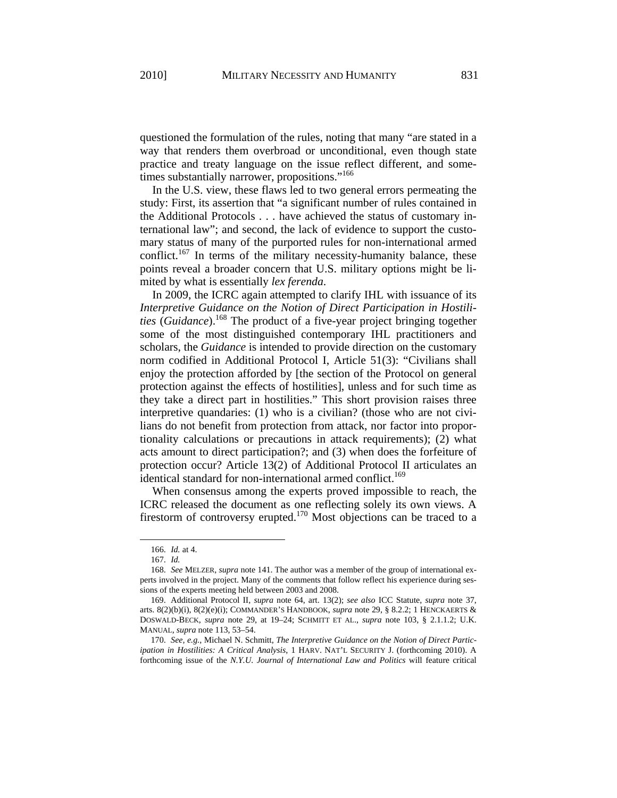questioned the formulation of the rules, noting that many "are stated in a way that renders them overbroad or unconditional, even though state practice and treaty language on the issue reflect different, and sometimes substantially narrower, propositions."<sup>166</sup>

In the U.S. view, these flaws led to two general errors permeating the study: First, its assertion that "a significant number of rules contained in the Additional Protocols . . . have achieved the status of customary international law"; and second, the lack of evidence to support the customary status of many of the purported rules for non-international armed conflict.<sup>167</sup> In terms of the military necessity-humanity balance, these points reveal a broader concern that U.S. military options might be limited by what is essentially *lex ferenda*.

In 2009, the ICRC again attempted to clarify IHL with issuance of its *Interpretive Guidance on the Notion of Direct Participation in Hostilities* (*Guidance*).168 The product of a five-year project bringing together some of the most distinguished contemporary IHL practitioners and scholars, the *Guidance* is intended to provide direction on the customary norm codified in Additional Protocol I, Article 51(3): "Civilians shall enjoy the protection afforded by [the section of the Protocol on general protection against the effects of hostilities], unless and for such time as they take a direct part in hostilities." This short provision raises three interpretive quandaries: (1) who is a civilian? (those who are not civilians do not benefit from protection from attack, nor factor into proportionality calculations or precautions in attack requirements); (2) what acts amount to direct participation?; and (3) when does the forfeiture of protection occur? Article 13(2) of Additional Protocol II articulates an identical standard for non-international armed conflict.<sup>169</sup>

When consensus among the experts proved impossible to reach, the ICRC released the document as one reflecting solely its own views. A firestorm of controversy erupted.<sup>170</sup> Most objections can be traced to a

<sup>166.</sup> *Id.* at 4.

<sup>167.</sup> *Id.*

<sup>168.</sup> *See* MELZER, *supra* note 141. The author was a member of the group of international experts involved in the project. Many of the comments that follow reflect his experience during sessions of the experts meeting held between 2003 and 2008.

<sup>169.</sup> Additional Protocol II, *supra* note 64, art. 13(2); *see also* ICC Statute, *supra* note 37, arts. 8(2)(b)(i), 8(2)(e)(i); COMMANDER'S HANDBOOK, *supra* note 29, § 8.2.2; 1 HENCKAERTS & DOSWALD-BECK, *supra* note 29, at 19–24; SCHMITT ET AL., *supra* note 103, § 2.1.1.2; U.K. MANUAL, *supra* note 113, 53–54.

<sup>170.</sup> *See, e.g.*, Michael N. Schmitt, *The Interpretive Guidance on the Notion of Direct Participation in Hostilities: A Critical Analysis*, 1 HARV. NAT'L SECURITY J. (forthcoming 2010). A forthcoming issue of the *N.Y.U. Journal of International Law and Politics* will feature critical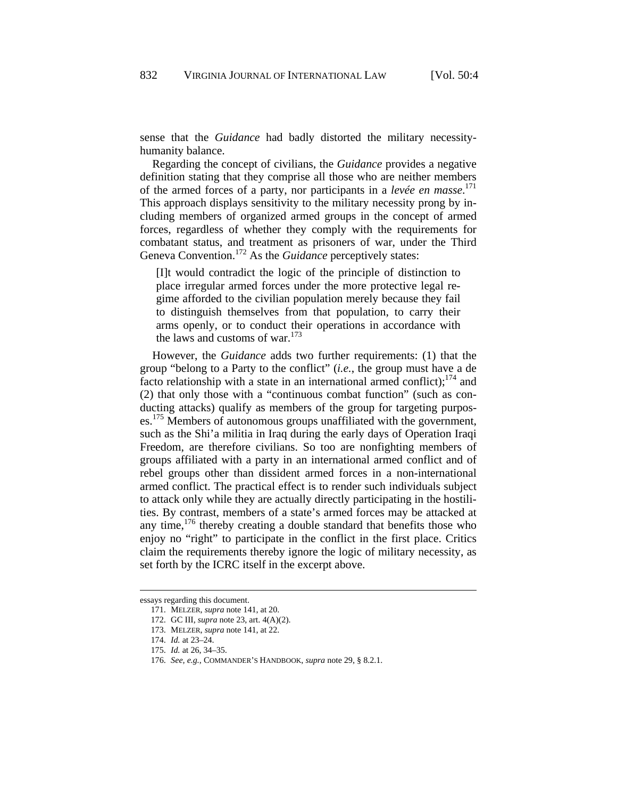sense that the *Guidance* had badly distorted the military necessityhumanity balance.

Regarding the concept of civilians, the *Guidance* provides a negative definition stating that they comprise all those who are neither members of the armed forces of a party, nor participants in a *levée en masse*. 171 This approach displays sensitivity to the military necessity prong by including members of organized armed groups in the concept of armed forces, regardless of whether they comply with the requirements for combatant status, and treatment as prisoners of war, under the Third Geneva Convention.<sup>172</sup> As the *Guidance* perceptively states:

[I]t would contradict the logic of the principle of distinction to place irregular armed forces under the more protective legal regime afforded to the civilian population merely because they fail to distinguish themselves from that population, to carry their arms openly, or to conduct their operations in accordance with the laws and customs of war.<sup>173</sup>

However, the *Guidance* adds two further requirements: (1) that the group "belong to a Party to the conflict" (*i.e.*, the group must have a de facto relationship with a state in an international armed conflict); $^{174}$  and (2) that only those with a "continuous combat function" (such as conducting attacks) qualify as members of the group for targeting purposes.<sup>175</sup> Members of autonomous groups unaffiliated with the government, such as the Shi'a militia in Iraq during the early days of Operation Iraqi Freedom, are therefore civilians. So too are nonfighting members of groups affiliated with a party in an international armed conflict and of rebel groups other than dissident armed forces in a non-international armed conflict. The practical effect is to render such individuals subject to attack only while they are actually directly participating in the hostilities. By contrast, members of a state's armed forces may be attacked at any time,  $176$  thereby creating a double standard that benefits those who enjoy no "right" to participate in the conflict in the first place. Critics claim the requirements thereby ignore the logic of military necessity, as set forth by the ICRC itself in the excerpt above.

essays regarding this document.

<sup>171.</sup> MELZER, *supra* note 141, at 20.

<sup>172.</sup> GC III, *supra* note 23, art. 4(A)(2).

<sup>173.</sup> MELZER, *supra* note 141, at 22.

<sup>174.</sup> *Id.* at 23–24.

<sup>175.</sup> *Id.* at 26, 34–35.

<sup>176.</sup> *See, e.g.*, COMMANDER'S HANDBOOK, *supra* note 29, § 8.2.1.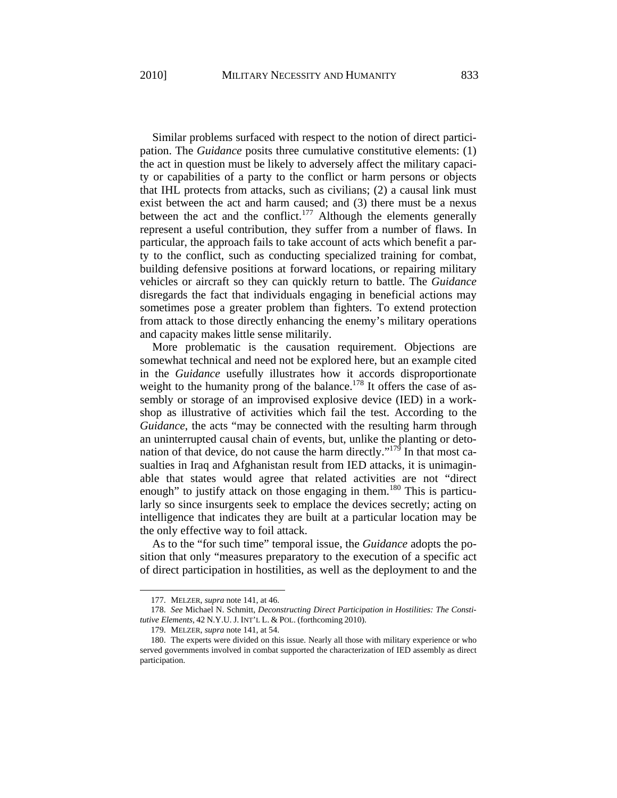Similar problems surfaced with respect to the notion of direct participation. The *Guidance* posits three cumulative constitutive elements: (1) the act in question must be likely to adversely affect the military capacity or capabilities of a party to the conflict or harm persons or objects that IHL protects from attacks, such as civilians; (2) a causal link must exist between the act and harm caused; and (3) there must be a nexus between the act and the conflict.<sup>177</sup> Although the elements generally represent a useful contribution, they suffer from a number of flaws. In particular, the approach fails to take account of acts which benefit a party to the conflict, such as conducting specialized training for combat, building defensive positions at forward locations, or repairing military vehicles or aircraft so they can quickly return to battle. The *Guidance* disregards the fact that individuals engaging in beneficial actions may sometimes pose a greater problem than fighters. To extend protection from attack to those directly enhancing the enemy's military operations and capacity makes little sense militarily.

More problematic is the causation requirement. Objections are somewhat technical and need not be explored here, but an example cited in the *Guidance* usefully illustrates how it accords disproportionate weight to the humanity prong of the balance.<sup>178</sup> It offers the case of assembly or storage of an improvised explosive device (IED) in a workshop as illustrative of activities which fail the test. According to the *Guidance*, the acts "may be connected with the resulting harm through an uninterrupted causal chain of events, but, unlike the planting or detonation of that device, do not cause the harm directly."<sup>179</sup> In that most casualties in Iraq and Afghanistan result from IED attacks, it is unimaginable that states would agree that related activities are not "direct enough" to justify attack on those engaging in them.<sup>180</sup> This is particularly so since insurgents seek to emplace the devices secretly; acting on intelligence that indicates they are built at a particular location may be the only effective way to foil attack.

As to the "for such time" temporal issue, the *Guidance* adopts the position that only "measures preparatory to the execution of a specific act of direct participation in hostilities, as well as the deployment to and the

<sup>177.</sup> MELZER, *supra* note 141, at 46.

<sup>178.</sup> *See* Michael N. Schmitt, *Deconstructing Direct Participation in Hostilities: The Constitutive Elements*, 42 N.Y.U. J. INT'L L. & POL. (forthcoming 2010).

<sup>179.</sup> MELZER, *supra* note 141, at 54.

<sup>180.</sup> The experts were divided on this issue. Nearly all those with military experience or who served governments involved in combat supported the characterization of IED assembly as direct participation.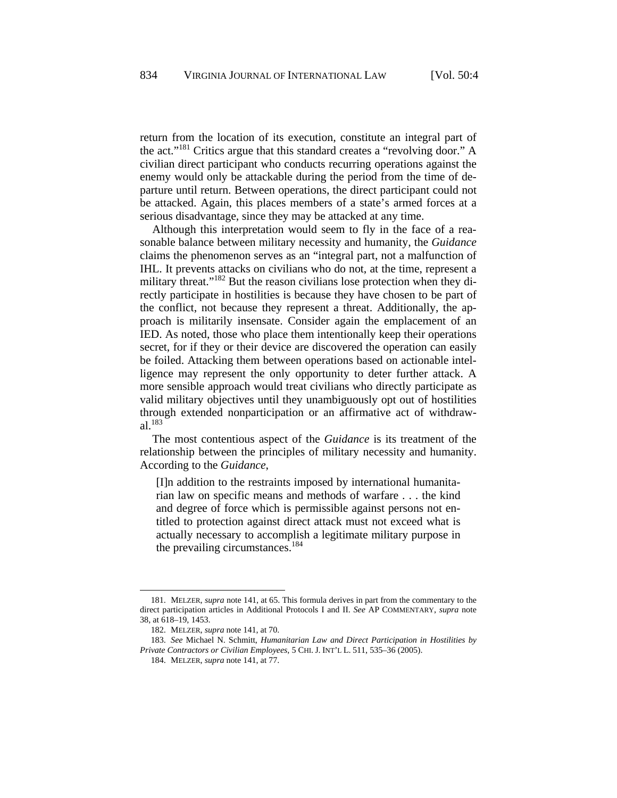return from the location of its execution, constitute an integral part of the act."181 Critics argue that this standard creates a "revolving door." A civilian direct participant who conducts recurring operations against the enemy would only be attackable during the period from the time of departure until return. Between operations, the direct participant could not be attacked. Again, this places members of a state's armed forces at a serious disadvantage, since they may be attacked at any time.

Although this interpretation would seem to fly in the face of a reasonable balance between military necessity and humanity, the *Guidance* claims the phenomenon serves as an "integral part, not a malfunction of IHL. It prevents attacks on civilians who do not, at the time, represent a military threat."<sup>182</sup> But the reason civilians lose protection when they directly participate in hostilities is because they have chosen to be part of the conflict, not because they represent a threat. Additionally, the approach is militarily insensate. Consider again the emplacement of an IED. As noted, those who place them intentionally keep their operations secret, for if they or their device are discovered the operation can easily be foiled. Attacking them between operations based on actionable intelligence may represent the only opportunity to deter further attack. A more sensible approach would treat civilians who directly participate as valid military objectives until they unambiguously opt out of hostilities through extended nonparticipation or an affirmative act of withdrawal.183

The most contentious aspect of the *Guidance* is its treatment of the relationship between the principles of military necessity and humanity. According to the *Guidance*,

[I]n addition to the restraints imposed by international humanitarian law on specific means and methods of warfare . . . the kind and degree of force which is permissible against persons not entitled to protection against direct attack must not exceed what is actually necessary to accomplish a legitimate military purpose in the prevailing circumstances.<sup>184</sup>

<sup>181.</sup> MELZER, *supra* note 141, at 65. This formula derives in part from the commentary to the direct participation articles in Additional Protocols I and II. *See* AP COMMENTARY, *supra* note 38, at 618–19, 1453.

<sup>182.</sup> MELZER, *supra* note 141, at 70.

<sup>183.</sup> *See* Michael N. Schmitt, *Humanitarian Law and Direct Participation in Hostilities by Private Contractors or Civilian Employees*, 5 CHI. J. INT'L L. 511, 535–36 (2005).

<sup>184.</sup> MELZER, *supra* note 141, at 77.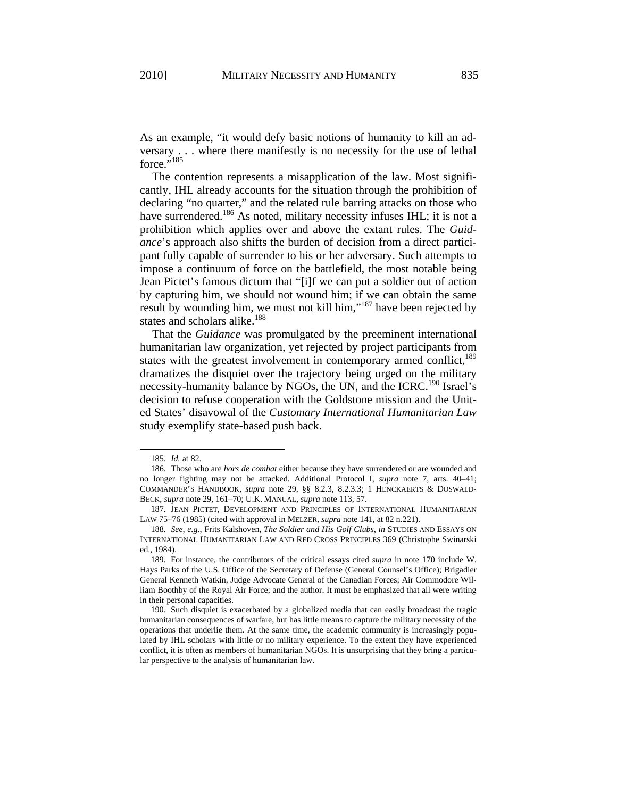As an example, "it would defy basic notions of humanity to kill an adversary . . . where there manifestly is no necessity for the use of lethal force."<sup>185</sup>

The contention represents a misapplication of the law. Most significantly, IHL already accounts for the situation through the prohibition of declaring "no quarter," and the related rule barring attacks on those who have surrendered.<sup>186</sup> As noted, military necessity infuses IHL; it is not a prohibition which applies over and above the extant rules. The *Guidance*'s approach also shifts the burden of decision from a direct participant fully capable of surrender to his or her adversary. Such attempts to impose a continuum of force on the battlefield, the most notable being Jean Pictet's famous dictum that "[i]f we can put a soldier out of action by capturing him, we should not wound him; if we can obtain the same result by wounding him, we must not kill him,"187 have been rejected by states and scholars alike.<sup>188</sup>

That the *Guidance* was promulgated by the preeminent international humanitarian law organization, yet rejected by project participants from states with the greatest involvement in contemporary armed conflict, $189$ dramatizes the disquiet over the trajectory being urged on the military necessity-humanity balance by NGOs, the UN, and the ICRC.<sup>190</sup> Israel's decision to refuse cooperation with the Goldstone mission and the United States' disavowal of the *Customary International Humanitarian Law* study exemplify state-based push back.

<sup>185.</sup> *Id.* at 82.

<sup>186.</sup> Those who are *hors de combat* either because they have surrendered or are wounded and no longer fighting may not be attacked. Additional Protocol I, *supra* note 7, arts. 40–41; COMMANDER'S HANDBOOK, *supra* note 29, §§ 8.2.3, 8.2.3.3; 1 HENCKAERTS & DOSWALD-BECK, *supra* note 29, 161–70; U.K. MANUAL, *supra* note 113, 57.

<sup>187.</sup> JEAN PICTET, DEVELOPMENT AND PRINCIPLES OF INTERNATIONAL HUMANITARIAN LAW 75–76 (1985) (cited with approval in MELZER, *supra* note 141, at 82 n.221).

<sup>188.</sup> *See, e.g.*, Frits Kalshoven, *The Soldier and His Golf Clubs*, *in* STUDIES AND ESSAYS ON INTERNATIONAL HUMANITARIAN LAW AND RED CROSS PRINCIPLES 369 (Christophe Swinarski ed., 1984).

<sup>189.</sup> For instance, the contributors of the critical essays cited *supra* in note 170 include W. Hays Parks of the U.S. Office of the Secretary of Defense (General Counsel's Office); Brigadier General Kenneth Watkin, Judge Advocate General of the Canadian Forces; Air Commodore William Boothby of the Royal Air Force; and the author. It must be emphasized that all were writing in their personal capacities.

<sup>190.</sup> Such disquiet is exacerbated by a globalized media that can easily broadcast the tragic humanitarian consequences of warfare, but has little means to capture the military necessity of the operations that underlie them. At the same time, the academic community is increasingly populated by IHL scholars with little or no military experience. To the extent they have experienced conflict, it is often as members of humanitarian NGOs. It is unsurprising that they bring a particular perspective to the analysis of humanitarian law.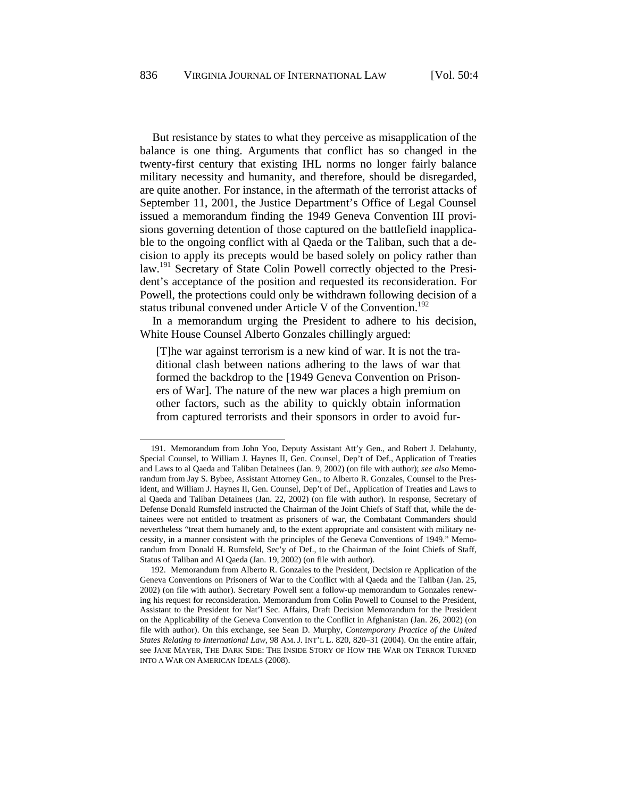But resistance by states to what they perceive as misapplication of the balance is one thing. Arguments that conflict has so changed in the twenty-first century that existing IHL norms no longer fairly balance military necessity and humanity, and therefore, should be disregarded, are quite another. For instance, in the aftermath of the terrorist attacks of September 11, 2001, the Justice Department's Office of Legal Counsel issued a memorandum finding the 1949 Geneva Convention III provisions governing detention of those captured on the battlefield inapplicable to the ongoing conflict with al Qaeda or the Taliban, such that a decision to apply its precepts would be based solely on policy rather than law.<sup>191</sup> Secretary of State Colin Powell correctly objected to the President's acceptance of the position and requested its reconsideration. For Powell, the protections could only be withdrawn following decision of a status tribunal convened under Article V of the Convention.<sup>192</sup>

In a memorandum urging the President to adhere to his decision, White House Counsel Alberto Gonzales chillingly argued:

[T]he war against terrorism is a new kind of war. It is not the traditional clash between nations adhering to the laws of war that formed the backdrop to the [1949 Geneva Convention on Prisoners of War]. The nature of the new war places a high premium on other factors, such as the ability to quickly obtain information from captured terrorists and their sponsors in order to avoid fur-

<sup>191.</sup> Memorandum from John Yoo, Deputy Assistant Att'y Gen., and Robert J. Delahunty, Special Counsel, to William J. Haynes II, Gen. Counsel, Dep't of Def., Application of Treaties and Laws to al Qaeda and Taliban Detainees (Jan. 9, 2002) (on file with author); *see also* Memorandum from Jay S. Bybee, Assistant Attorney Gen., to Alberto R. Gonzales, Counsel to the President, and William J. Haynes II, Gen. Counsel, Dep't of Def., Application of Treaties and Laws to al Qaeda and Taliban Detainees (Jan. 22, 2002) (on file with author). In response, Secretary of Defense Donald Rumsfeld instructed the Chairman of the Joint Chiefs of Staff that, while the detainees were not entitled to treatment as prisoners of war, the Combatant Commanders should nevertheless "treat them humanely and, to the extent appropriate and consistent with military necessity, in a manner consistent with the principles of the Geneva Conventions of 1949." Memorandum from Donald H. Rumsfeld, Sec'y of Def., to the Chairman of the Joint Chiefs of Staff, Status of Taliban and Al Qaeda (Jan. 19, 2002) (on file with author).

<sup>192.</sup> Memorandum from Alberto R. Gonzales to the President, Decision re Application of the Geneva Conventions on Prisoners of War to the Conflict with al Qaeda and the Taliban (Jan. 25, 2002) (on file with author). Secretary Powell sent a follow-up memorandum to Gonzales renewing his request for reconsideration. Memorandum from Colin Powell to Counsel to the President, Assistant to the President for Nat'l Sec. Affairs, Draft Decision Memorandum for the President on the Applicability of the Geneva Convention to the Conflict in Afghanistan (Jan. 26, 2002) (on file with author). On this exchange, see Sean D. Murphy, *Contemporary Practice of the United States Relating to International Law*, 98 AM. J. INT'L L. 820, 820–31 (2004). On the entire affair, see JANE MAYER, THE DARK SIDE: THE INSIDE STORY OF HOW THE WAR ON TERROR TURNED INTO A WAR ON AMERICAN IDEALS (2008).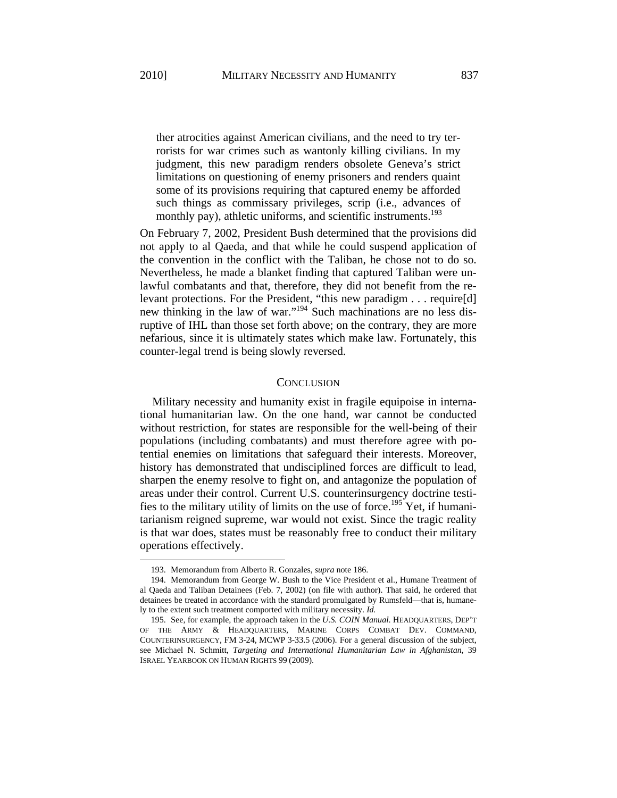-

ther atrocities against American civilians, and the need to try terrorists for war crimes such as wantonly killing civilians. In my judgment, this new paradigm renders obsolete Geneva's strict limitations on questioning of enemy prisoners and renders quaint some of its provisions requiring that captured enemy be afforded such things as commissary privileges, scrip (i.e., advances of monthly pay), athletic uniforms, and scientific instruments.<sup>193</sup>

On February 7, 2002, President Bush determined that the provisions did not apply to al Qaeda, and that while he could suspend application of the convention in the conflict with the Taliban, he chose not to do so. Nevertheless, he made a blanket finding that captured Taliban were unlawful combatants and that, therefore, they did not benefit from the relevant protections. For the President, "this new paradigm . . . require[d] new thinking in the law of war."194 Such machinations are no less disruptive of IHL than those set forth above; on the contrary, they are more nefarious, since it is ultimately states which make law. Fortunately, this counter-legal trend is being slowly reversed.

# **CONCLUSION**

Military necessity and humanity exist in fragile equipoise in international humanitarian law. On the one hand, war cannot be conducted without restriction, for states are responsible for the well-being of their populations (including combatants) and must therefore agree with potential enemies on limitations that safeguard their interests. Moreover, history has demonstrated that undisciplined forces are difficult to lead, sharpen the enemy resolve to fight on, and antagonize the population of areas under their control. Current U.S. counterinsurgency doctrine testifies to the military utility of limits on the use of force.<sup>195</sup> Yet, if humanitarianism reigned supreme, war would not exist. Since the tragic reality is that war does, states must be reasonably free to conduct their military operations effectively.

<sup>193.</sup> Memorandum from Alberto R. Gonzales, *supra* note 186.

<sup>194.</sup> Memorandum from George W. Bush to the Vice President et al., Humane Treatment of al Qaeda and Taliban Detainees (Feb. 7, 2002) (on file with author). That said, he ordered that detainees be treated in accordance with the standard promulgated by Rumsfeld—that is, humanely to the extent such treatment comported with military necessity. *Id.*

<sup>195.</sup> See, for example, the approach taken in the *U.S. COIN Manual*. HEADQUARTERS, DEP'T OF THE ARMY & HEADQUARTERS, MARINE CORPS COMBAT DEV. COMMAND, COUNTERINSURGENCY, FM 3-24, MCWP 3-33.5 (2006). For a general discussion of the subject, see Michael N. Schmitt, *Targeting and International Humanitarian Law in Afghanistan*, 39 ISRAEL YEARBOOK ON HUMAN RIGHTS 99 (2009).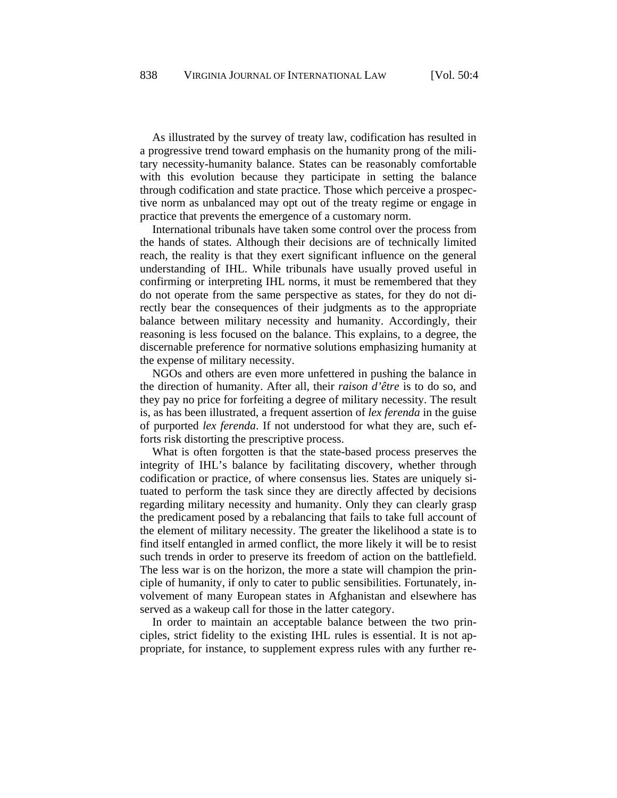As illustrated by the survey of treaty law, codification has resulted in a progressive trend toward emphasis on the humanity prong of the military necessity-humanity balance. States can be reasonably comfortable with this evolution because they participate in setting the balance through codification and state practice. Those which perceive a prospective norm as unbalanced may opt out of the treaty regime or engage in practice that prevents the emergence of a customary norm.

International tribunals have taken some control over the process from the hands of states. Although their decisions are of technically limited reach, the reality is that they exert significant influence on the general understanding of IHL. While tribunals have usually proved useful in confirming or interpreting IHL norms, it must be remembered that they do not operate from the same perspective as states, for they do not directly bear the consequences of their judgments as to the appropriate balance between military necessity and humanity. Accordingly, their reasoning is less focused on the balance. This explains, to a degree, the discernable preference for normative solutions emphasizing humanity at the expense of military necessity.

NGOs and others are even more unfettered in pushing the balance in the direction of humanity. After all, their *raison d'être* is to do so, and they pay no price for forfeiting a degree of military necessity. The result is, as has been illustrated, a frequent assertion of *lex ferenda* in the guise of purported *lex ferenda*. If not understood for what they are, such efforts risk distorting the prescriptive process.

What is often forgotten is that the state-based process preserves the integrity of IHL's balance by facilitating discovery, whether through codification or practice, of where consensus lies. States are uniquely situated to perform the task since they are directly affected by decisions regarding military necessity and humanity. Only they can clearly grasp the predicament posed by a rebalancing that fails to take full account of the element of military necessity. The greater the likelihood a state is to find itself entangled in armed conflict, the more likely it will be to resist such trends in order to preserve its freedom of action on the battlefield. The less war is on the horizon, the more a state will champion the principle of humanity, if only to cater to public sensibilities. Fortunately, involvement of many European states in Afghanistan and elsewhere has served as a wakeup call for those in the latter category.

In order to maintain an acceptable balance between the two principles, strict fidelity to the existing IHL rules is essential. It is not appropriate, for instance, to supplement express rules with any further re